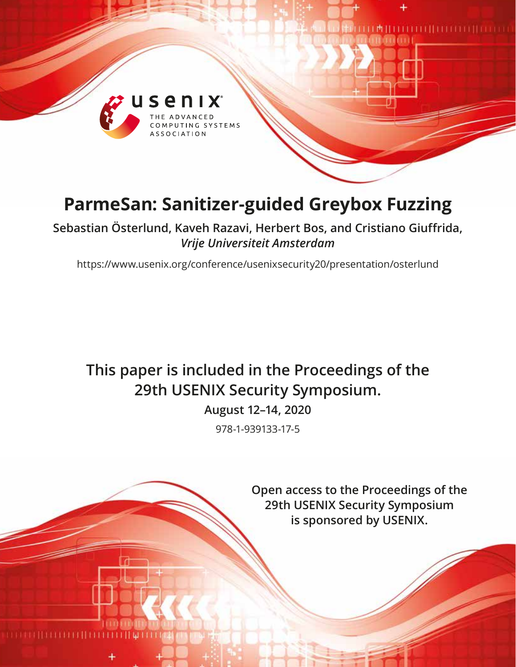

# **ParmeSan: Sanitizer-guided Greybox Fuzzing**

**Sebastian Österlund, Kaveh Razavi, Herbert Bos, and Cristiano Giuffrida,**  *Vrije Universiteit Amsterdam*

https://www.usenix.org/conference/usenixsecurity20/presentation/osterlund

# **This paper is included in the Proceedings of the 29th USENIX Security Symposium.**

**August 12–14, 2020**

978-1-939133-17-5

**Open access to the Proceedings of the 29th USENIX Security Symposium is sponsored by USENIX.**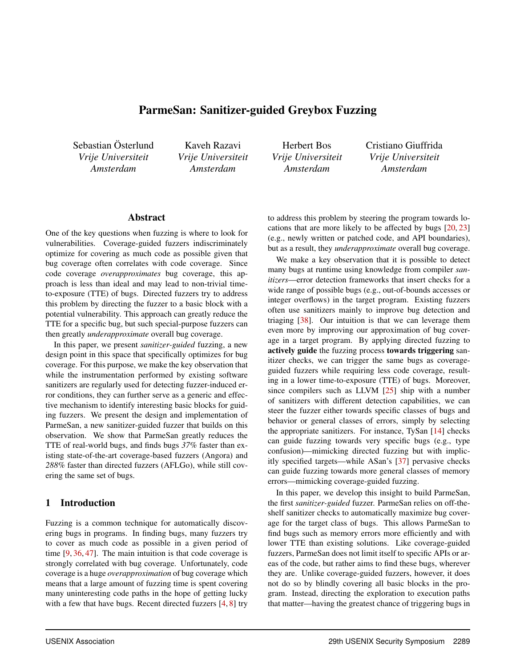# ParmeSan: Sanitizer-guided Greybox Fuzzing

Sebastian Österlund *Vrije Universiteit Amsterdam*

Kaveh Razavi *Vrije Universiteit Amsterdam*

Herbert Bos *Vrije Universiteit Amsterdam*

Cristiano Giuffrida *Vrije Universiteit Amsterdam*

#### Abstract

One of the key questions when fuzzing is where to look for vulnerabilities. Coverage-guided fuzzers indiscriminately optimize for covering as much code as possible given that bug coverage often correlates with code coverage. Since code coverage *overapproximates* bug coverage, this approach is less than ideal and may lead to non-trivial timeto-exposure (TTE) of bugs. Directed fuzzers try to address this problem by directing the fuzzer to a basic block with a potential vulnerability. This approach can greatly reduce the TTE for a specific bug, but such special-purpose fuzzers can then greatly *underapproximate* overall bug coverage.

In this paper, we present *sanitizer-guided* fuzzing, a new design point in this space that specifically optimizes for bug coverage. For this purpose, we make the key observation that while the instrumentation performed by existing software sanitizers are regularly used for detecting fuzzer-induced error conditions, they can further serve as a generic and effective mechanism to identify interesting basic blocks for guiding fuzzers. We present the design and implementation of ParmeSan, a new sanitizer-guided fuzzer that builds on this observation. We show that ParmeSan greatly reduces the TTE of real-world bugs, and finds bugs *37%* faster than existing state-of-the-art coverage-based fuzzers (Angora) and *288%* faster than directed fuzzers (AFLGo), while still covering the same set of bugs.

#### 1 Introduction

Fuzzing is a common technique for automatically discovering bugs in programs. In finding bugs, many fuzzers try to cover as much code as possible in a given period of time [[9,](#page-14-0) [36](#page-16-0), [47](#page-16-1)]. The main intuition is that code coverage is strongly correlated with bug coverage. Unfortunately, code coverage is a huge *overapproximation* of bug coverage which means that a large amount of fuzzing time is spent covering many uninteresting code paths in the hope of getting lucky with a few that have bugs. Recent directed fuzzers [\[4](#page-14-1), [8\]](#page-14-2) try

to address this problem by steering the program towards locations that are more likely to be affected by bugs [\[20](#page-15-0), [23\]](#page-15-1) (e.g., newly written or patched code, and API boundaries), but as a result, they *underapproximate* overall bug coverage.

We make a key observation that it is possible to detect many bugs at runtime using knowledge from compiler *sanitizers*—error detection frameworks that insert checks for a wide range of possible bugs (e.g., out-of-bounds accesses or integer overflows) in the target program. Existing fuzzers often use sanitizers mainly to improve bug detection and triaging [\[38](#page-16-2)]. Our intuition is that we can leverage them even more by improving our approximation of bug coverage in a target program. By applying directed fuzzing to actively guide the fuzzing process towards triggering sanitizer checks, we can trigger the same bugs as coverageguided fuzzers while requiring less code coverage, resulting in a lower time-to-exposure (TTE) of bugs. Moreover, since compilers such as LLVM [\[25](#page-15-2)] ship with a number of sanitizers with different detection capabilities, we can steer the fuzzer either towards specific classes of bugs and behavior or general classes of errors, simply by selecting the appropriate sanitizers. For instance, TySan [\[14](#page-15-3)] checks can guide fuzzing towards very specific bugs (e.g., type confusion)—mimicking directed fuzzing but with implicitly specified targets—while ASan's [\[37](#page-16-3)] pervasive checks can guide fuzzing towards more general classes of memory errors—mimicking coverage-guided fuzzing.

In this paper, we develop this insight to build ParmeSan, the first *sanitizer-guided* fuzzer. ParmeSan relies on off-theshelf sanitizer checks to automatically maximize bug coverage for the target class of bugs. This allows ParmeSan to find bugs such as memory errors more efficiently and with lower TTE than existing solutions. Like coverage-guided fuzzers, ParmeSan does not limit itself to specific APIs or areas of the code, but rather aims to find these bugs, wherever they are. Unlike coverage-guided fuzzers, however, it does not do so by blindly covering all basic blocks in the program. Instead, directing the exploration to execution paths that matter—having the greatest chance of triggering bugs in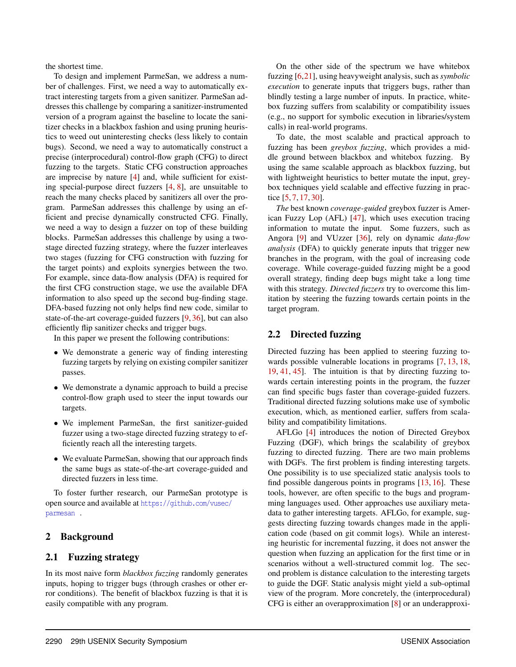the shortest time.

To design and implement ParmeSan, we address a number of challenges. First, we need a way to automatically extract interesting targets from a given sanitizer. ParmeSan addresses this challenge by comparing a sanitizer-instrumented version of a program against the baseline to locate the sanitizer checks in a blackbox fashion and using pruning heuristics to weed out uninteresting checks (less likely to contain bugs). Second, we need a way to automatically construct a precise (interprocedural) control-flow graph (CFG) to direct fuzzing to the targets. Static CFG construction approaches are imprecise by nature [[4\]](#page-14-1) and, while sufficient for existing special-purpose direct fuzzers [\[4](#page-14-1), [8\]](#page-14-2), are unsuitable to reach the many checks placed by sanitizers all over the program. ParmeSan addresses this challenge by using an efficient and precise dynamically constructed CFG. Finally, we need a way to design a fuzzer on top of these building blocks. ParmeSan addresses this challenge by using a twostage directed fuzzing strategy, where the fuzzer interleaves two stages (fuzzing for CFG construction with fuzzing for the target points) and exploits synergies between the two. For example, since data-flow analysis (DFA) is required for the first CFG construction stage, we use the available DFA information to also speed up the second bug-finding stage. DFA-based fuzzing not only helps find new code, similar to state-of-the-art coverage-guided fuzzers [\[9](#page-14-0), [36](#page-16-0)], but can also efficiently flip sanitizer checks and trigger bugs.

In this paper we present the following contributions:

- *•* We demonstrate a generic way of finding interesting fuzzing targets by relying on existing compiler sanitizer passes.
- *•* We demonstrate a dynamic approach to build a precise control-flow graph used to steer the input towards our targets.
- *•* We implement ParmeSan, the first sanitizer-guided fuzzer using a two-stage directed fuzzing strategy to efficiently reach all the interesting targets.
- *•* We evaluate ParmeSan, showing that our approach finds the same bugs as state-of-the-art coverage-guided and directed fuzzers in less time.

To foster further research, our ParmeSan prototype is open source and available at [https://github.com/vusec/](https://github.com/vusec/parmesan) [parmesan](https://github.com/vusec/parmesan) .

## 2 Background

#### 2.1 Fuzzing strategy

In its most naive form *blackbox fuzzing* randomly generates inputs, hoping to trigger bugs (through crashes or other error conditions). The benefit of blackbox fuzzing is that it is easily compatible with any program.

On the other side of the spectrum we have whitebox fuzzing [\[6](#page-14-3),[21](#page-15-4)], using heavyweight analysis, such as *symbolic execution* to generate inputs that triggers bugs, rather than blindly testing a large number of inputs. In practice, whitebox fuzzing suffers from scalability or compatibility issues (e.g., no support for symbolic execution in libraries/system calls) in real-world programs.

To date, the most scalable and practical approach to fuzzing has been *greybox fuzzing*, which provides a middle ground between blackbox and whitebox fuzzing. By using the same scalable approach as blackbox fuzzing, but with lightweight heuristics to better mutate the input, greybox techniques yield scalable and effective fuzzing in practice [\[5](#page-14-4), [7,](#page-14-5) [17,](#page-15-5) [30](#page-15-6)].

*The* best known *coverage-guided* greybox fuzzer is American Fuzzy Lop (AFL) [[47\]](#page-16-1), which uses execution tracing information to mutate the input. Some fuzzers, such as Angora [[9\]](#page-14-0) and VUzzer [\[36](#page-16-0)], rely on dynamic *data-flow analysis* (DFA) to quickly generate inputs that trigger new branches in the program, with the goal of increasing code coverage. While coverage-guided fuzzing might be a good overall strategy, finding deep bugs might take a long time with this strategy. *Directed fuzzers* try to overcome this limitation by steering the fuzzing towards certain points in the target program.

#### 2.2 Directed fuzzing

Directed fuzzing has been applied to steering fuzzing towards possible vulnerable locations in programs [[7,](#page-14-5) [13](#page-15-7), [18,](#page-15-8) [19,](#page-15-9) [41,](#page-16-4) [45\]](#page-16-5). The intuition is that by directing fuzzing towards certain interesting points in the program, the fuzzer can find specific bugs faster than coverage-guided fuzzers. Traditional directed fuzzing solutions make use of symbolic execution, which, as mentioned earlier, suffers from scalability and compatibility limitations.

AFLGo [[4\]](#page-14-1) introduces the notion of Directed Greybox Fuzzing (DGF), which brings the scalability of greybox fuzzing to directed fuzzing. There are two main problems with DGFs. The first problem is finding interesting targets. One possibility is to use specialized static analysis tools to find possible dangerous points in programs [\[13](#page-15-7), [16](#page-15-10)]. These tools, however, are often specific to the bugs and programming languages used. Other approaches use auxiliary metadata to gather interesting targets. AFLGo, for example, suggests directing fuzzing towards changes made in the application code (based on git commit logs). While an interesting heuristic for incremental fuzzing, it does not answer the question when fuzzing an application for the first time or in scenarios without a well-structured commit log. The second problem is distance calculation to the interesting targets to guide the DGF. Static analysis might yield a sub-optimal view of the program. More concretely, the (interprocedural) CFG is either an overapproximation [[8\]](#page-14-2) or an underapproxi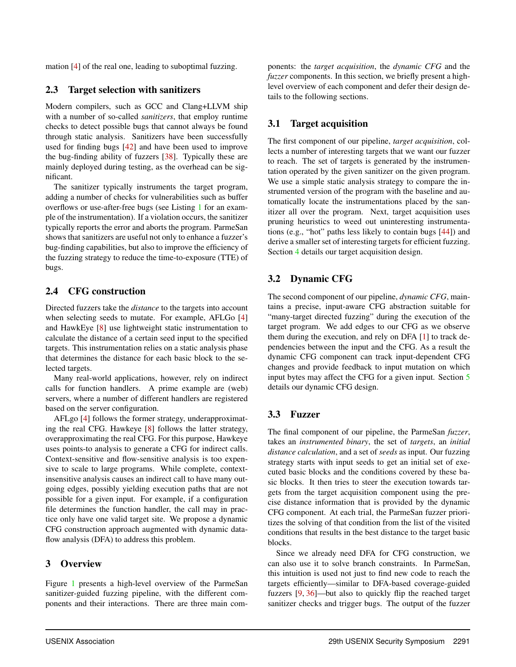mation [\[4](#page-14-1)] of the real one, leading to suboptimal fuzzing.

#### 2.3 Target selection with sanitizers

Modern compilers, such as GCC and Clang+LLVM ship with a number of so-called *sanitizers*, that employ runtime checks to detect possible bugs that cannot always be found through static analysis. Sanitizers have been successfully used for finding bugs [[42](#page-16-6)] and have been used to improve the bug-finding ability of fuzzers [[38](#page-16-2)]. Typically these are mainly deployed during testing, as the overhead can be significant.

The sanitizer typically instruments the target program, adding a number of checks for vulnerabilities such as buffer overflows or use-after-free bugs (see Listing [1](#page-4-0) for an example of the instrumentation). If a violation occurs, the sanitizer typically reports the error and aborts the program. ParmeSan shows that sanitizers are useful not only to enhance a fuzzer's bug-finding capabilities, but also to improve the efficiency of the fuzzing strategy to reduce the time-to-exposure (TTE) of bugs.

## 2.4 CFG construction

Directed fuzzers take the *distance* to the targets into account when selecting seeds to mutate. For example, AFLGo [[4\]](#page-14-1) and HawkEye [[8\]](#page-14-2) use lightweight static instrumentation to calculate the distance of a certain seed input to the specified targets. This instrumentation relies on a static analysis phase that determines the distance for each basic block to the selected targets.

Many real-world applications, however, rely on indirect calls for function handlers. A prime example are (web) servers, where a number of different handlers are registered based on the server configuration.

AFLgo [[4\]](#page-14-1) follows the former strategy, underapproximating the real CFG. Hawkeye [\[8](#page-14-2)] follows the latter strategy, overapproximating the real CFG. For this purpose, Hawkeye uses points-to analysis to generate a CFG for indirect calls. Context-sensitive and flow-sensitive analysis is too expensive to scale to large programs. While complete, contextinsensitive analysis causes an indirect call to have many outgoing edges, possibly yielding execution paths that are not possible for a given input. For example, if a configuration file determines the function handler, the call may in practice only have one valid target site. We propose a dynamic CFG construction approach augmented with dynamic dataflow analysis (DFA) to address this problem.

## 3 Overview

Figure [1](#page-4-1) presents a high-level overview of the ParmeSan sanitizer-guided fuzzing pipeline, with the different components and their interactions. There are three main com-

ponents: the *target acquisition*, the *dynamic CFG* and the *fuzzer* components. In this section, we briefly present a highlevel overview of each component and defer their design details to the following sections.

## 3.1 Target acquisition

The first component of our pipeline, *target acquisition*, collects a number of interesting targets that we want our fuzzer to reach. The set of targets is generated by the instrumentation operated by the given sanitizer on the given program. We use a simple static analysis strategy to compare the instrumented version of the program with the baseline and automatically locate the instrumentations placed by the sanitizer all over the program. Next, target acquisition uses pruning heuristics to weed out uninteresting instrumentations (e.g., "hot" paths less likely to contain bugs [[44\]](#page-16-7)) and derive a smaller set of interesting targets for efficient fuzzing. Section [4](#page-4-2) details our target acquisition design.

# 3.2 Dynamic CFG

The second component of our pipeline, *dynamic CFG*, maintains a precise, input-aware CFG abstraction suitable for "many-target directed fuzzing" during the execution of the target program. We add edges to our CFG as we observe them during the execution, and rely on DFA [\[1](#page-14-6)] to track dependencies between the input and the CFG. As a result the dynamic CFG component can track input-dependent CFG changes and provide feedback to input mutation on which input bytes may affect the CFG for a given input. Section [5](#page-6-0) details our dynamic CFG design.

## 3.3 Fuzzer

The final component of our pipeline, the ParmeSan *fuzzer*, takes an *instrumented binary*, the set of *targets*, an *initial distance calculation*, and a set of *seeds* as input. Our fuzzing strategy starts with input seeds to get an initial set of executed basic blocks and the conditions covered by these basic blocks. It then tries to steer the execution towards targets from the target acquisition component using the precise distance information that is provided by the dynamic CFG component. At each trial, the ParmeSan fuzzer prioritizes the solving of that condition from the list of the visited conditions that results in the best distance to the target basic blocks.

Since we already need DFA for CFG construction, we can also use it to solve branch constraints. In ParmeSan, this intuition is used not just to find new code to reach the targets efficiently—similar to DFA-based coverage-guided fuzzers [[9,](#page-14-0) [36](#page-16-0)]—but also to quickly flip the reached target sanitizer checks and trigger bugs. The output of the fuzzer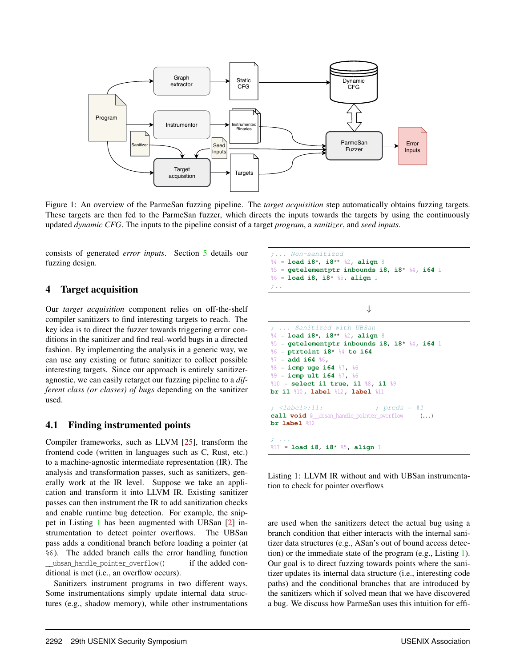<span id="page-4-1"></span>

Figure 1: An overview of the ParmeSan fuzzing pipeline. The *target acquisition* step automatically obtains fuzzing targets. These targets are then fed to the ParmeSan fuzzer, which directs the inputs towards the targets by using the continuously updated *dynamic CFG*. The inputs to the pipeline consist of a target *program*, a *sanitizer*, and *seed inputs*.

consists of generated *error inputs*. Section [5](#page-6-0) details our fuzzing design.

## <span id="page-4-2"></span>4 Target acquisition

Our *target acquisition* component relies on off-the-shelf compiler sanitizers to find interesting targets to reach. The key idea is to direct the fuzzer towards triggering error conditions in the sanitizer and find real-world bugs in a directed fashion. By implementing the analysis in a generic way, we can use any existing or future sanitizer to collect possible interesting targets. Since our approach is entirely sanitizeragnostic, we can easily retarget our fuzzing pipeline to a *different class (or classes) of bugs* depending on the sanitizer used.

#### 4.1 Finding instrumented points

Compiler frameworks, such as LLVM [[25\]](#page-15-2), transform the frontend code (written in languages such as C, Rust, etc.) to a machine-agnostic intermediate representation (IR). The analysis and transformation passes, such as sanitizers, generally work at the IR level. Suppose we take an application and transform it into LLVM IR. Existing sanitizer passes can then instrument the IR to add sanitization checks and enable runtime bug detection. For example, the snippet in Listing [1](#page-4-0) has been augmented with UBSan [[2\]](#page-14-7) instrumentation to detect pointer overflows. The UBSan pass adds a conditional branch before loading a pointer (at %6 ). The added branch calls the error handling function \_\_ubsan\_handle\_pointer\_overflow() if the added conditional is met (i.e., an overflow occurs).

Sanitizers instrument programs in two different ways. Some instrumentations simply update internal data structures (e.g., shadow memory), while other instrumentations

<span id="page-4-0"></span>

*⇓*



Listing 1: LLVM IR without and with UBSan instrumentation to check for pointer overflows

are used when the sanitizers detect the actual bug using a branch condition that either interacts with the internal sanitizer data structures (e.g., ASan's out of bound access detection) or the immediate state of the program (e.g., Listing [1](#page-4-0)). Our goal is to direct fuzzing towards points where the sanitizer updates its internal data structure (i.e., interesting code paths) and the conditional branches that are introduced by the sanitizers which if solved mean that we have discovered a bug. We discuss how ParmeSan uses this intuition for effi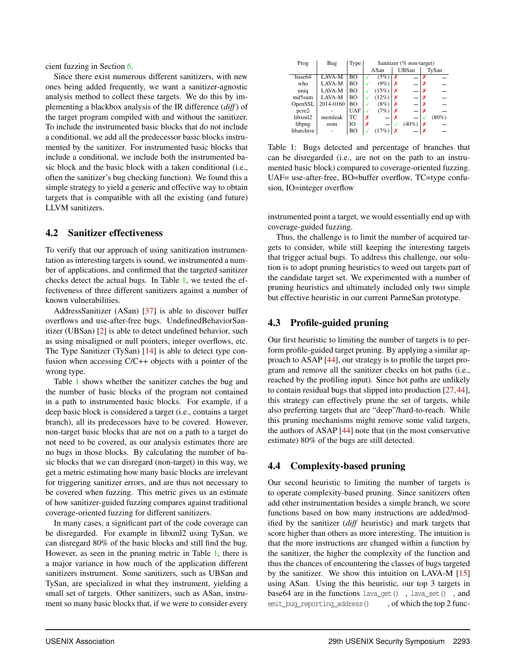cient fuzzing in Section [6.](#page-7-0)

Since there exist numerous different sanitizers, with new ones being added frequently, we want a sanitizer-agnostic analysis method to collect these targets. We do this by implementing a blackbox analysis of the IR difference (*diff*) of the target program compiled with and without the sanitizer. To include the instrumented basic blocks that do not include a conditional, we add all the predecessor basic blocks instrumented by the sanitizer. For instrumented basic blocks that include a conditional, we include both the instrumented basic block and the basic block with a taken conditional (i.e., often the sanitizer's bug checking function). We found this a simple strategy to yield a generic and effective way to obtain targets that is compatible with all the existing (and future) LLVM sanitizers.

#### 4.2 Sanitizer effectiveness

To verify that our approach of using sanitization instrumentation as interesting targets is sound, we instrumented a number of applications, and confirmed that the targeted sanitizer checks detect the actual bugs. In Table [1,](#page-5-0) we tested the effectiveness of three different sanitizers against a number of known vulnerabilities.

AddressSanitizer (ASan) [\[37](#page-16-3)] is able to discover buffer overflows and use-after-free bugs. UndefinedBehaviorSanitizer (UBSan) [\[2](#page-14-7)] is able to detect undefined behavior, such as using misaligned or null pointers, integer overflows, etc. The Type Sanitizer (TySan) [\[14](#page-15-3)] is able to detect type confusion when accessing C/C++ objects with a pointer of the wrong type.

Table [1](#page-5-0) shows whether the sanitizer catches the bug and the number of basic blocks of the program not contained in a path to instrumented basic blocks. For example, if a deep basic block is considered a target (i.e., contains a target branch), all its predecessors have to be covered. However, non-target basic blocks that are not on a path to a target do not need to be covered, as our analysis estimates there are no bugs in those blocks. By calculating the number of basic blocks that we can disregard (non-target) in this way, we get a metric estimating how many basic blocks are irrelevant for triggering sanitizer errors, and are thus not necessary to be covered when fuzzing. This metric gives us an estimate of how sanitizer-guided fuzzing compares against traditional coverage-oriented fuzzing for different sanitizers.

In many cases, a significant part of the code coverage can be disregarded. For example in libxml2 using TySan, we can disregard 80% of the basic blocks and still find the bug. However, as seen in the pruning metric in Table [1](#page-5-0), there is a major variance in how much of the application different sanitizers instrument. Some sanitizers, such as UBSan and TySan, are specialized in what they instrument, yielding a small set of targets. Other sanitizers, such as ASan, instrument so many basic blocks that, if we were to consider every

<span id="page-5-0"></span>

| Prog       | Bug       | Type       | Sanitizer (% non-target) |       |   |              |   |          |  |
|------------|-----------|------------|--------------------------|-------|---|--------------|---|----------|--|
|            |           |            |                          | ASan  |   | <b>UBSan</b> |   | TySan    |  |
| base64     | LAVA-M    | BΟ         |                          | (5%)  | x |              | x |          |  |
| who        | LAVA-M    | BΟ         |                          | (9%)  | х |              | х |          |  |
| uniq       | LAVA-M    | BО         |                          | (15%) | x |              |   |          |  |
| md5sum     | LAVA-M    | BО         |                          | (12%) | х |              |   |          |  |
| OpenSSL    | 2014-0160 | BΟ         |                          | (8%)  | x |              |   |          |  |
| pcre2      |           | <b>UAF</b> |                          | (7%)  | x |              |   |          |  |
| libxml2    | memleak   | <b>TC</b>  | х                        |       | х |              |   | $(80\%)$ |  |
| libpng     | oom       | Ю          | х                        |       |   | (40%         |   |          |  |
| libarchive |           | BΟ         |                          | (17%  |   |              |   |          |  |

Table 1: Bugs detected and percentage of branches that can be disregarded (i.e., are not on the path to an instrumented basic block) compared to coverage-oriented fuzzing. UAF= use-after-free, BO=buffer overflow, TC=type confusion, IO=integer overflow

instrumented point a target, we would essentially end up with coverage-guided fuzzing.

Thus, the challenge is to limit the number of acquired targets to consider, while still keeping the interesting targets that trigger actual bugs. To address this challenge, our solution is to adopt pruning heuristics to weed out targets part of the candidate target set. We experimented with a number of pruning heuristics and ultimately included only two simple but effective heuristic in our current ParmeSan prototype.

## 4.3 Profile-guided pruning

Our first heuristic to limiting the number of targets is to perform profile-guided target pruning. By applying a similar approach to ASAP [\[44](#page-16-7)], our strategy is to profile the target program and remove all the sanitizer checks on hot paths (i.e., reached by the profiling input). Since hot paths are unlikely to contain residual bugs that slipped into production [[27,](#page-15-11)[44](#page-16-7)], this strategy can effectively prune the set of targets, while also preferring targets that are "deep"/hard-to-reach. While this pruning mechanisms might remove some valid targets, the authors of ASAP [[44\]](#page-16-7) note that (in the most conservative estimate) 80% of the bugs are still detected.

## <span id="page-5-1"></span>4.4 Complexity-based pruning

Our second heuristic to limiting the number of targets is to operate complexity-based pruning. Since sanitizers often add other instrumentation besides a simple branch, we score functions based on how many instructions are added/modified by the sanitizer (*diff* heuristic) and mark targets that score higher than others as more interesting. The intuition is that the more instructions are changed within a function by the sanitizer, the higher the complexity of the function and thus the chances of encountering the classes of bugs targeted by the sanitizer. We show this intuition on LAVA-M [[15\]](#page-15-12) using ASan. Using the this heuristic, our top 3 targets in base64 are in the functions lava\_get() , lava\_set() , and emit bug reporting address(),  $\overline{\phantom{a}}$ , of which the top 2 func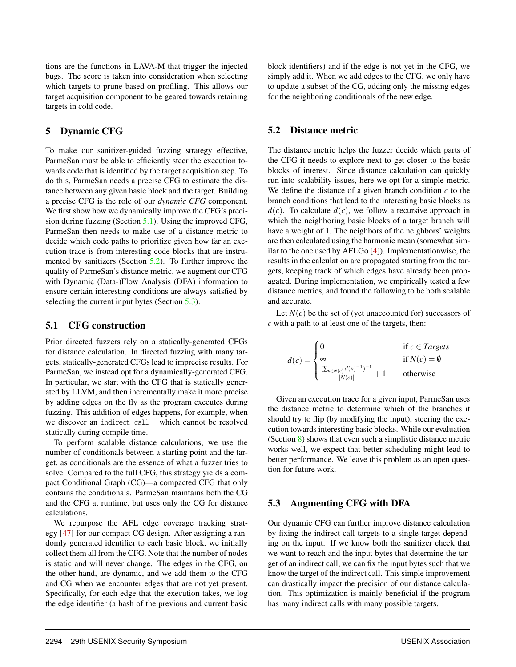tions are the functions in LAVA-M that trigger the injected bugs. The score is taken into consideration when selecting which targets to prune based on profiling. This allows our target acquisition component to be geared towards retaining targets in cold code.

#### <span id="page-6-0"></span>5 Dynamic CFG

To make our sanitizer-guided fuzzing strategy effective, ParmeSan must be able to efficiently steer the execution towards code that is identified by the target acquisition step. To do this, ParmeSan needs a precise CFG to estimate the distance between any given basic block and the target. Building a precise CFG is the role of our *dynamic CFG* component. We first show how we dynamically improve the CFG's precision during fuzzing (Section [5.1](#page-6-1)). Using the improved CFG, ParmeSan then needs to make use of a distance metric to decide which code paths to prioritize given how far an execution trace is from interesting code blocks that are instrumented by sanitizers (Section [5.2](#page-6-2)). To further improve the quality of ParmeSan's distance metric, we augment our CFG with Dynamic (Data-)Flow Analysis (DFA) information to ensure certain interesting conditions are always satisfied by selecting the current input bytes (Section [5.3\)](#page-6-3).

#### <span id="page-6-1"></span>5.1 CFG construction

Prior directed fuzzers rely on a statically-generated CFGs for distance calculation. In directed fuzzing with many targets, statically-generated CFGs lead to imprecise results. For ParmeSan, we instead opt for a dynamically-generated CFG. In particular, we start with the CFG that is statically generated by LLVM, and then incrementally make it more precise by adding edges on the fly as the program executes during fuzzing. This addition of edges happens, for example, when we discover an indirect call which cannot be resolved statically during compile time.

To perform scalable distance calculations, we use the number of conditionals between a starting point and the target, as conditionals are the essence of what a fuzzer tries to solve. Compared to the full CFG, this strategy yields a compact Conditional Graph (CG)—a compacted CFG that only contains the conditionals. ParmeSan maintains both the CG and the CFG at runtime, but uses only the CG for distance calculations.

We repurpose the AFL edge coverage tracking strategy [\[47](#page-16-1)] for our compact CG design. After assigning a randomly generated identifier to each basic block, we initially collect them all from the CFG. Note that the number of nodes is static and will never change. The edges in the CFG, on the other hand, are dynamic, and we add them to the CFG and CG when we encounter edges that are not yet present. Specifically, for each edge that the execution takes, we log the edge identifier (a hash of the previous and current basic block identifiers) and if the edge is not yet in the CFG, we simply add it. When we add edges to the CFG, we only have to update a subset of the CG, adding only the missing edges for the neighboring conditionals of the new edge.

#### <span id="page-6-2"></span>5.2 Distance metric

The distance metric helps the fuzzer decide which parts of the CFG it needs to explore next to get closer to the basic blocks of interest. Since distance calculation can quickly run into scalability issues, here we opt for a simple metric. We define the distance of a given branch condition *c* to the branch conditions that lead to the interesting basic blocks as  $d(c)$ . To calculate  $d(c)$ , we follow a recursive approach in which the neighboring basic blocks of a target branch will have a weight of 1. The neighbors of the neighbors' weights are then calculated using the harmonic mean (somewhat similar to the one used by AFLGo [[4\]](#page-14-1)). Implementationwise, the results in the calculation are propagated starting from the targets, keeping track of which edges have already been propagated. During implementation, we empirically tested a few distance metrics, and found the following to be both scalable and accurate.

Let  $N(c)$  be the set of (yet unaccounted for) successors of *c* with a path to at least one of the targets, then:

$$
d(c) = \begin{cases} 0 & \text{if } c \in \text{Targets} \\ \infty & \text{if } N(c) = \emptyset \\ \frac{(\sum_{n \in N(c)} d(n)^{-1})^{-1}}{|N(c)|} + 1 & \text{otherwise} \end{cases}
$$

Given an execution trace for a given input, ParmeSan uses the distance metric to determine which of the branches it should try to flip (by modifying the input), steering the execution towards interesting basic blocks. While our evaluation (Section [8](#page-8-0)) shows that even such a simplistic distance metric works well, we expect that better scheduling might lead to better performance. We leave this problem as an open question for future work.

#### <span id="page-6-3"></span>5.3 Augmenting CFG with DFA

Our dynamic CFG can further improve distance calculation by fixing the indirect call targets to a single target depending on the input. If we know both the sanitizer check that we want to reach and the input bytes that determine the target of an indirect call, we can fix the input bytes such that we know the target of the indirect call. This simple improvement can drastically impact the precision of our distance calculation. This optimization is mainly beneficial if the program has many indirect calls with many possible targets.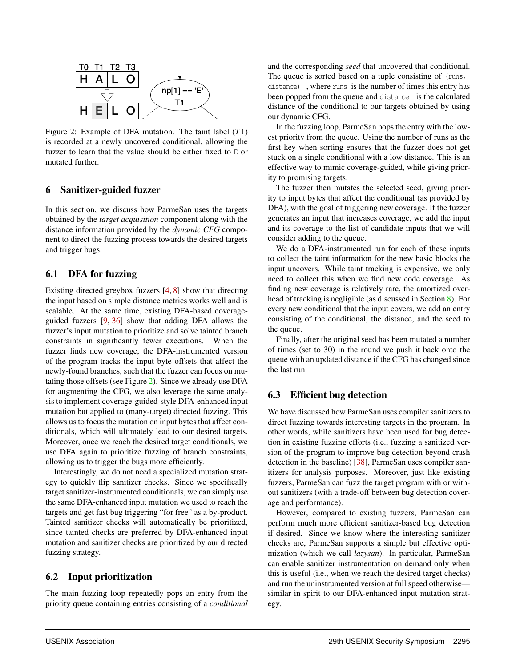<span id="page-7-1"></span>

Figure 2: Example of DFA mutation. The taint label (*T*1) is recorded at a newly uncovered conditional, allowing the fuzzer to learn that the value should be either fixed to E or mutated further.

#### <span id="page-7-0"></span>6 Sanitizer-guided fuzzer

In this section, we discuss how ParmeSan uses the targets obtained by the *target acquisition* component along with the distance information provided by the *dynamic CFG* component to direct the fuzzing process towards the desired targets and trigger bugs.

#### 6.1 DFA for fuzzing

Existing directed greybox fuzzers [\[4](#page-14-1), [8](#page-14-2)] show that directing the input based on simple distance metrics works well and is scalable. At the same time, existing DFA-based coverageguided fuzzers [[9,](#page-14-0) [36\]](#page-16-0) show that adding DFA allows the fuzzer's input mutation to prioritize and solve tainted branch constraints in significantly fewer executions. When the fuzzer finds new coverage, the DFA-instrumented version of the program tracks the input byte offsets that affect the newly-found branches, such that the fuzzer can focus on mutating those offsets (see Figure [2](#page-7-1)). Since we already use DFA for augmenting the CFG, we also leverage the same analysis to implement coverage-guided-style DFA-enhanced input mutation but applied to (many-target) directed fuzzing. This allows us to focus the mutation on input bytes that affect conditionals, which will ultimately lead to our desired targets. Moreover, once we reach the desired target conditionals, we use DFA again to prioritize fuzzing of branch constraints, allowing us to trigger the bugs more efficiently.

Interestingly, we do not need a specialized mutation strategy to quickly flip sanitizer checks. Since we specifically target sanitizer-instrumented conditionals, we can simply use the same DFA-enhanced input mutation we used to reach the targets and get fast bug triggering "for free" as a by-product. Tainted sanitizer checks will automatically be prioritized, since tainted checks are preferred by DFA-enhanced input mutation and sanitizer checks are prioritized by our directed fuzzing strategy.

#### 6.2 Input prioritization

The main fuzzing loop repeatedly pops an entry from the priority queue containing entries consisting of a *conditional* and the corresponding *seed* that uncovered that conditional. The queue is sorted based on a tuple consisting of (runs,

distance) , where runs is the number of times this entry has been popped from the queue and distance is the calculated distance of the conditional to our targets obtained by using our dynamic CFG.

In the fuzzing loop, ParmeSan pops the entry with the lowest priority from the queue. Using the number of runs as the first key when sorting ensures that the fuzzer does not get stuck on a single conditional with a low distance. This is an effective way to mimic coverage-guided, while giving priority to promising targets.

The fuzzer then mutates the selected seed, giving priority to input bytes that affect the conditional (as provided by DFA), with the goal of triggering new coverage. If the fuzzer generates an input that increases coverage, we add the input and its coverage to the list of candidate inputs that we will consider adding to the queue.

We do a DFA-instrumented run for each of these inputs to collect the taint information for the new basic blocks the input uncovers. While taint tracking is expensive, we only need to collect this when we find new code coverage. As finding new coverage is relatively rare, the amortized overhead of tracking is negligible (as discussed in Section [8\)](#page-8-0). For every new conditional that the input covers, we add an entry consisting of the conditional, the distance, and the seed to the queue.

Finally, after the original seed has been mutated a number of times (set to 30) in the round we push it back onto the queue with an updated distance if the CFG has changed since the last run.

#### 6.3 Efficient bug detection

We have discussed how ParmeSan uses compiler sanitizers to direct fuzzing towards interesting targets in the program. In other words, while sanitizers have been used for bug detection in existing fuzzing efforts (i.e., fuzzing a sanitized version of the program to improve bug detection beyond crash detection in the baseline) [\[38](#page-16-2)], ParmeSan uses compiler sanitizers for analysis purposes. Moreover, just like existing fuzzers, ParmeSan can fuzz the target program with or without sanitizers (with a trade-off between bug detection coverage and performance).

However, compared to existing fuzzers, ParmeSan can perform much more efficient sanitizer-based bug detection if desired. Since we know where the interesting sanitizer checks are, ParmeSan supports a simple but effective optimization (which we call *lazysan*). In particular, ParmeSan can enable sanitizer instrumentation on demand only when this is useful (i.e., when we reach the desired target checks) and run the uninstrumented version at full speed otherwise similar in spirit to our DFA-enhanced input mutation strategy.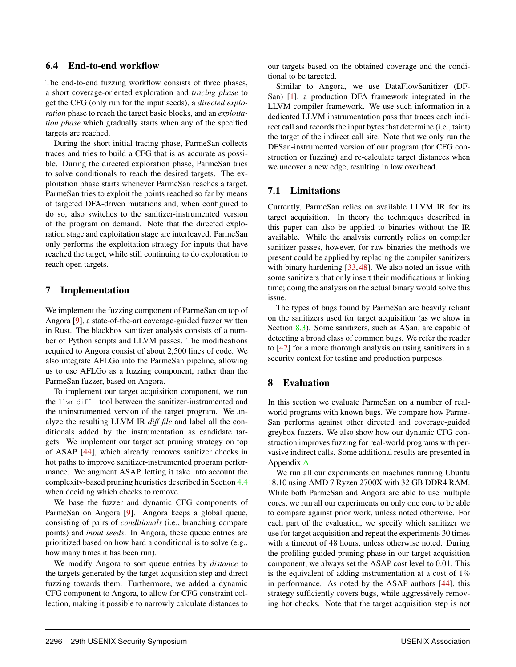#### 6.4 End-to-end workflow

The end-to-end fuzzing workflow consists of three phases, a short coverage-oriented exploration and *tracing phase* to get the CFG (only run for the input seeds), a *directed exploration* phase to reach the target basic blocks, and an *exploitation phase* which gradually starts when any of the specified targets are reached.

During the short initial tracing phase, ParmeSan collects traces and tries to build a CFG that is as accurate as possible. During the directed exploration phase, ParmeSan tries to solve conditionals to reach the desired targets. The exploitation phase starts whenever ParmeSan reaches a target. ParmeSan tries to exploit the points reached so far by means of targeted DFA-driven mutations and, when configured to do so, also switches to the sanitizer-instrumented version of the program on demand. Note that the directed exploration stage and exploitation stage are interleaved. ParmeSan only performs the exploitation strategy for inputs that have reached the target, while still continuing to do exploration to reach open targets.

## 7 Implementation

We implement the fuzzing component of ParmeSan on top of Angora [\[9](#page-14-0)], a state-of-the-art coverage-guided fuzzer written in Rust. The blackbox sanitizer analysis consists of a number of Python scripts and LLVM passes. The modifications required to Angora consist of about 2,500 lines of code. We also integrate AFLGo into the ParmeSan pipeline, allowing us to use AFLGo as a fuzzing component, rather than the ParmeSan fuzzer, based on Angora.

To implement our target acquisition component, we run the llvm-diff tool between the sanitizer-instrumented and the uninstrumented version of the target program. We analyze the resulting LLVM IR *diff file* and label all the conditionals added by the instrumentation as candidate targets. We implement our target set pruning strategy on top of ASAP [[44\]](#page-16-7), which already removes sanitizer checks in hot paths to improve sanitizer-instrumented program performance. We augment ASAP, letting it take into account the complexity-based pruning heuristics described in Section [4.4](#page-5-1) when deciding which checks to remove.

We base the fuzzer and dynamic CFG components of ParmeSan on Angora [\[9](#page-14-0)]. Angora keeps a global queue, consisting of pairs of *conditionals* (i.e., branching compare points) and *input seeds*. In Angora, these queue entries are prioritized based on how hard a conditional is to solve (e.g., how many times it has been run).

We modify Angora to sort queue entries by *distance* to the targets generated by the target acquisition step and direct fuzzing towards them. Furthermore, we added a dynamic CFG component to Angora, to allow for CFG constraint collection, making it possible to narrowly calculate distances to

our targets based on the obtained coverage and the conditional to be targeted.

Similar to Angora, we use DataFlowSanitizer (DF-San) [\[1](#page-14-6)], a production DFA framework integrated in the LLVM compiler framework. We use such information in a dedicated LLVM instrumentation pass that traces each indirect call and records the input bytes that determine (i.e., taint) the target of the indirect call site. Note that we only run the DFSan-instrumented version of our program (for CFG construction or fuzzing) and re-calculate target distances when we uncover a new edge, resulting in low overhead.

## 7.1 Limitations

Currently, ParmeSan relies on available LLVM IR for its target acquisition. In theory the techniques described in this paper can also be applied to binaries without the IR available. While the analysis currently relies on compiler sanitizer passes, however, for raw binaries the methods we present could be applied by replacing the compiler sanitizers with binary hardening [\[33](#page-16-8), [48](#page-16-9)]. We also noted an issue with some sanitizers that only insert their modifications at linking time; doing the analysis on the actual binary would solve this issue.

The types of bugs found by ParmeSan are heavily reliant on the sanitizers used for target acquisition (as we show in Section [8.3](#page-11-0)). Some sanitizers, such as ASan, are capable of detecting a broad class of common bugs. We refer the reader to [[42\]](#page-16-6) for a more thorough analysis on using sanitizers in a security context for testing and production purposes.

# <span id="page-8-0"></span>8 Evaluation

In this section we evaluate ParmeSan on a number of realworld programs with known bugs. We compare how Parme-San performs against other directed and coverage-guided greybox fuzzers. We also show how our dynamic CFG construction improves fuzzing for real-world programs with pervasive indirect calls. Some additional results are presented in Appendix [A.](#page-16-10)

We run all our experiments on machines running Ubuntu 18.10 using AMD 7 Ryzen 2700X with 32 GB DDR4 RAM. While both ParmeSan and Angora are able to use multiple cores, we run all our experiments on only one core to be able to compare against prior work, unless noted otherwise. For each part of the evaluation, we specify which sanitizer we use for target acquisition and repeat the experiments 30 times with a timeout of 48 hours, unless otherwise noted. During the profiling-guided pruning phase in our target acquisition component, we always set the ASAP cost level to 0.01. This is the equivalent of adding instrumentation at a cost of 1% in performance. As noted by the ASAP authors [[44\]](#page-16-7), this strategy sufficiently covers bugs, while aggressively removing hot checks. Note that the target acquisition step is not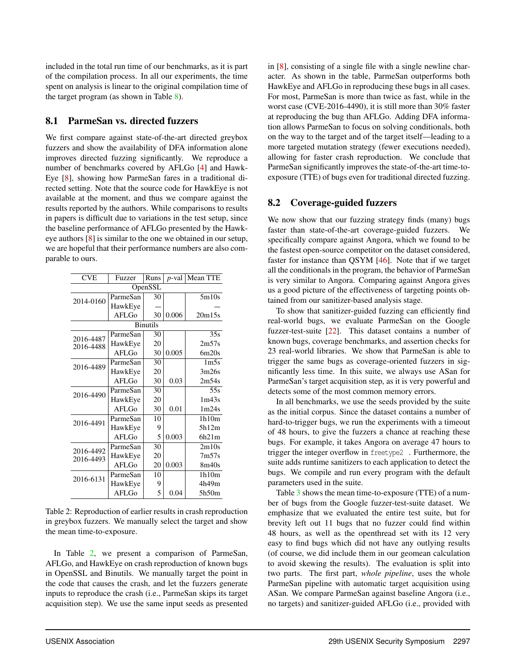included in the total run time of our benchmarks, as it is part of the compilation process. In all our experiments, the time spent on analysis is linear to the original compilation time of the target program (as shown in Table [8\)](#page-17-0).

## 8.1 ParmeSan vs. directed fuzzers

We first compare against state-of-the-art directed greybox fuzzers and show the availability of DFA information alone improves directed fuzzing significantly. We reproduce a number of benchmarks covered by AFLGo [\[4](#page-14-1)] and Hawk-Eye [[8\]](#page-14-2), showing how ParmeSan fares in a traditional directed setting. Note that the source code for HawkEye is not available at the moment, and thus we compare against the results reported by the authors. While comparisons to results in papers is difficult due to variations in the test setup, since the baseline performance of AFLGo presented by the Hawkeye authors [[8\]](#page-14-2) is similar to the one we obtained in our setup, we are hopeful that their performance numbers are also comparable to ours.

<span id="page-9-0"></span>

| <b>CVE</b>             | Fuzzer       | Runs    | $p$ -val | Mean TTE          |  |  |  |  |  |  |
|------------------------|--------------|---------|----------|-------------------|--|--|--|--|--|--|
|                        |              | OpenSSL |          |                   |  |  |  |  |  |  |
| 2014-0160              | ParmeSan     | 30      |          | 5m10s             |  |  |  |  |  |  |
|                        | HawkEye      |         |          |                   |  |  |  |  |  |  |
|                        | <b>AFLGo</b> | 30      | 0.006    | 20m15s            |  |  |  |  |  |  |
| <b>Binutils</b>        |              |         |          |                   |  |  |  |  |  |  |
|                        | ParmeSan     | 30      |          | 35s               |  |  |  |  |  |  |
| 2016-4487<br>2016-4488 | HawkEye      | 20      |          | 2m57s             |  |  |  |  |  |  |
|                        | AFLGo        | 30      | 0.005    | 6m20s             |  |  |  |  |  |  |
| 2016-4489              | ParmeSan     | 30      |          | 1 <sub>m5s</sub>  |  |  |  |  |  |  |
|                        | HawkEye      | 20      |          | 3m26s             |  |  |  |  |  |  |
|                        | AFI.G        | 30      | 0.03     | 2m54s             |  |  |  |  |  |  |
| 2016-4490              | ParmeSan     | 30      |          | 55s               |  |  |  |  |  |  |
|                        | HawkEye      | 20      |          | 1m43s             |  |  |  |  |  |  |
|                        | AFLGo        | 30      | 0.01     | 1 <sub>m24s</sub> |  |  |  |  |  |  |
| 2016-4491              | ParmeSan     | 10      |          | 1h10m             |  |  |  |  |  |  |
|                        | HawkEye      | 9       |          | 5h12m             |  |  |  |  |  |  |
|                        | AFI.G        | 5       | 0.003    | 6h21m             |  |  |  |  |  |  |
| 2016-4492              | ParmeSan     | 30      |          | 2m10s             |  |  |  |  |  |  |
| 2016-4493              | HawkEye      | 20      |          | 7 <sub>m57s</sub> |  |  |  |  |  |  |
|                        | AFLGo        | 20      | 0.003    | 8m40s             |  |  |  |  |  |  |
| 2016-6131              | ParmeSan     | 10      |          | 1h10m             |  |  |  |  |  |  |
|                        | HawkEye      | 9       |          | 4h49m             |  |  |  |  |  |  |
|                        | AFLGo        | 5       | 0.04     | 5h50m             |  |  |  |  |  |  |

Table 2: Reproduction of earlier results in crash reproduction in greybox fuzzers. We manually select the target and show the mean time-to-exposure.

In Table [2](#page-9-0), we present a comparison of ParmeSan, AFLGo, and HawkEye on crash reproduction of known bugs in OpenSSL and Binutils. We manually target the point in the code that causes the crash, and let the fuzzers generate inputs to reproduce the crash (i.e., ParmeSan skips its target acquisition step). We use the same input seeds as presented in [[8\]](#page-14-2), consisting of a single file with a single newline character. As shown in the table, ParmeSan outperforms both HawkEye and AFLGo in reproducing these bugs in all cases. For most, ParmeSan is more than twice as fast, while in the worst case (CVE-2016-4490), it is still more than 30% faster at reproducing the bug than AFLGo. Adding DFA information allows ParmeSan to focus on solving conditionals, both on the way to the target and of the target itself—leading to a more targeted mutation strategy (fewer executions needed), allowing for faster crash reproduction. We conclude that ParmeSan significantly improves the state-of-the-art time-toexposure (TTE) of bugs even for traditional directed fuzzing.

# 8.2 Coverage-guided fuzzers

We now show that our fuzzing strategy finds (many) bugs faster than state-of-the-art coverage-guided fuzzers. We specifically compare against Angora, which we found to be the fastest open-source competitor on the dataset considered, faster for instance than QSYM [[46\]](#page-16-11). Note that if we target all the conditionals in the program, the behavior of ParmeSan is very similar to Angora. Comparing against Angora gives us a good picture of the effectiveness of targeting points obtained from our sanitizer-based analysis stage.

To show that sanitizer-guided fuzzing can efficiently find real-world bugs, we evaluate ParmeSan on the Google fuzzer-test-suite [[22\]](#page-15-13). This dataset contains a number of known bugs, coverage benchmarks, and assertion checks for 23 real-world libraries. We show that ParmeSan is able to trigger the same bugs as coverage-oriented fuzzers in significantly less time. In this suite, we always use ASan for ParmeSan's target acquisition step, as it is very powerful and detects some of the most common memory errors.

In all benchmarks, we use the seeds provided by the suite as the initial corpus. Since the dataset contains a number of hard-to-trigger bugs, we run the experiments with a timeout of 48 hours, to give the fuzzers a chance at reaching these bugs. For example, it takes Angora on average 47 hours to trigger the integer overflow in freetype2 . Furthermore, the suite adds runtime sanitizers to each application to detect the bugs. We compile and run every program with the default parameters used in the suite.

Table [3](#page-10-0) shows the mean time-to-exposure (TTE) of a number of bugs from the Google fuzzer-test-suite dataset. We emphasize that we evaluated the entire test suite, but for brevity left out 11 bugs that no fuzzer could find within 48 hours, as well as the openthread set with its 12 very easy to find bugs which did not have any outlying results (of course, we did include them in our geomean calculation to avoid skewing the results). The evaluation is split into two parts. The first part, *whole pipeline*, uses the whole ParmeSan pipeline with automatic target acquisition using ASan. We compare ParmeSan against baseline Angora (i.e., no targets) and sanitizer-guided AFLGo (i.e., provided with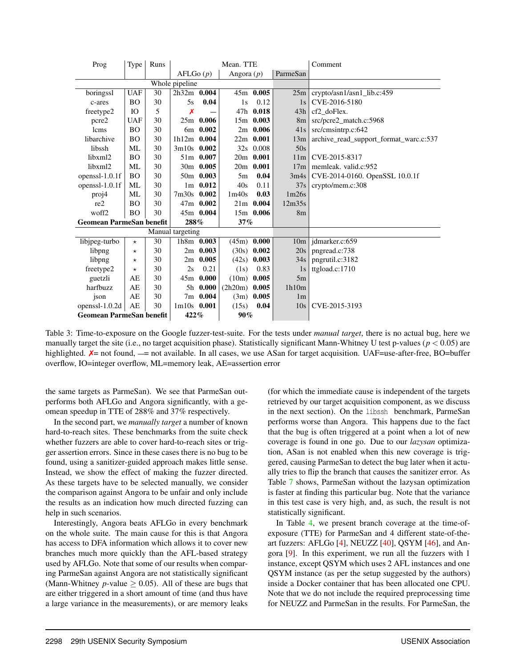<span id="page-10-0"></span>

| Prog                            | Type       | Runs           |                  |             | Mean. TTE         |               |                 | Comment                                |
|---------------------------------|------------|----------------|------------------|-------------|-------------------|---------------|-----------------|----------------------------------------|
|                                 |            |                | AFLGo(p)         |             | Angora $(p)$      |               | ParmeSan        |                                        |
|                                 |            |                | Whole pipeline   |             |                   |               |                 |                                        |
| boringssl                       | <b>UAF</b> | 30             | 2h32m 0.004      |             |                   | 45m 0.005     | 25m             | crypto/asn1/asn1_lib.c:459             |
| c-ares                          | <b>BO</b>  | 30             | 5s               | 0.04        | 1s                | 0.12          | 1s              | CVE-2016-5180                          |
| freetype2                       | <b>IO</b>  | $\overline{5}$ | Х                |             |                   | 47h 0.018     | 43h             | cf2 doFlex.                            |
| pcre2                           | <b>UAF</b> | 30             |                  | $25m$ 0.006 |                   | 15m 0.003     | 8 <sub>m</sub>  | src/pcre2_match.c:5968                 |
| lcms                            | <b>BO</b>  | 30             |                  | 6m 0.002    |                   | $2m$ 0.006    | 41s             | src/cmsintrp.c:642                     |
| libarchive                      | BO         | 30             | 1h12m 0.004      |             |                   | $22m$ 0.001   | 13m             | archive_read_support_format_warc.c:537 |
| libssh                          | ML         | 30             | 3m10s 0.002      |             |                   | 32s 0.008     | 50s             |                                        |
| libxml2                         | <b>BO</b>  | 30             |                  | 51m 0.007   |                   | 20m 0.001     | 11 <sub>m</sub> | CVE-2015-8317                          |
| libxml2                         | МL         | 30             |                  | 30m 0.005   |                   | 20m 0.001     | 17m             | memleak. valid.c:952                   |
| openssl-1.0.1f                  | <b>BO</b>  | 30             |                  | 50m 0.003   | 5m                | 0.04          | 3m4s            | CVE-2014-0160. OpenSSL 10.0.1f         |
| openss $l-1.0.1f$               | ML         | 30             |                  | $1m$ 0.012  | 40s               | 0.11          | 37s             | crypto/mem.c:308                       |
| proj4                           | ML         | 30             | 7m30s 0.002      |             | 1 <sub>m40s</sub> | 0.03          | 1m26s           |                                        |
| re2                             | BO         | 30             |                  | 47m 0.002   |                   | $21m$ 0.004   | 12m35s          |                                        |
| woff2                           | <b>BO</b>  | 30             |                  | 45m 0.004   |                   | 15m 0.006     | 8 <sub>m</sub>  |                                        |
| <b>Geomean ParmeSan benefit</b> |            |                | 288%             |             | 37%               |               |                 |                                        |
|                                 |            |                | Manual targeting |             |                   |               |                 |                                        |
| libjpeg-turbo                   | $^\star$   | 30             |                  | 1h8m 0.003  | (45m)             | 0.000         | 10 <sub>m</sub> | jdmarker.c:659                         |
| libpng                          | $\star$    | 30             |                  | $2m$ 0.003  |                   | $(30s)$ 0.002 | 20s             | pngread.c:738                          |
| libpng                          | $^\star$   | 30             |                  | $2m$ 0.005  |                   | $(42s)$ 0.003 | 34s             | pngrutil.c:3182                        |
| freetype2                       | $^\star$   | 30             | 2s               | 0.21        | (1s)              | 0.83          | 1s              | ttgload.c:1710                         |
| guetzli                         | AE         | 30             |                  | 45m 0.000   | (10m)             | 0.005         | 5m              |                                        |
| harfbuzz                        | AE         | 30             |                  | 5h 0.000    | $(2h20m)$ 0.005   |               | 1h10m           |                                        |
| ison                            | AE         | 30             |                  | 7m 0.004    | (3m)              | 0.005         | 1 <sub>m</sub>  |                                        |
| openssl- $1.0.2d$               | AE         | 30             | $1m10s$ 0.001    |             | (15s)             | 0.04          | 10s             | CVE-2015-3193                          |
| <b>Geomean ParmeSan benefit</b> |            |                | 422%             |             | 90%               |               |                 |                                        |

Table 3: Time-to-exposure on the Google fuzzer-test-suite. For the tests under *manual target*, there is no actual bug, here we manually target the site (i.e., no target acquisition phase). Statistically significant Mann-Whitney U test p-values (*p <* 0*.*05) are highlighted.  $X=$  not found,  $-$  = not available. In all cases, we use ASan for target acquisition. UAF=use-after-free, BO=buffer overflow, IO=integer overflow, ML=memory leak, AE=assertion error

the same targets as ParmeSan). We see that ParmeSan outperforms both AFLGo and Angora significantly, with a geomean speedup in TTE of 288% and 37% respectively.

In the second part, we *manually target* a number of known hard-to-reach sites. These benchmarks from the suite check whether fuzzers are able to cover hard-to-reach sites or trigger assertion errors. Since in these cases there is no bug to be found, using a sanitizer-guided approach makes little sense. Instead, we show the effect of making the fuzzer directed. As these targets have to be selected manually, we consider the comparison against Angora to be unfair and only include the results as an indication how much directed fuzzing can help in such scenarios.

Interestingly, Angora beats AFLGo in every benchmark on the whole suite. The main cause for this is that Angora has access to DFA information which allows it to cover new branches much more quickly than the AFL-based strategy used by AFLGo. Note that some of our results when comparing ParmeSan against Angora are not statistically significant (Mann-Whitney *p*-value  $\geq$  0.05). All of these are bugs that are either triggered in a short amount of time (and thus have a large variance in the measurements), or are memory leaks

(for which the immediate cause is independent of the targets retrieved by our target acquisition component, as we discuss in the next section). On the libssh benchmark, ParmeSan performs worse than Angora. This happens due to the fact that the bug is often triggered at a point when a lot of new coverage is found in one go. Due to our *lazysan* optimization, ASan is not enabled when this new coverage is triggered, causing ParmeSan to detect the bug later when it actually tries to flip the branch that causes the sanitizer error. As Table [7](#page-17-1) shows, ParmeSan without the lazysan optimization is faster at finding this particular bug. Note that the variance in this test case is very high, and, as such, the result is not statistically significant.

In Table [4](#page-11-1), we present branch coverage at the time-ofexposure (TTE) for ParmeSan and 4 different state-of-theart fuzzers: AFLGo [\[4](#page-14-1)], NEUZZ [\[40](#page-16-12)], QSYM [\[46](#page-16-11)], and Angora [\[9](#page-14-0)]. In this experiment, we run all the fuzzers with 1 instance, except QSYM which uses 2 AFL instances and one QSYM instance (as per the setup suggested by the authors) inside a Docker container that has been allocated one CPU. Note that we do not include the required preprocessing time for NEUZZ and ParmeSan in the results. For ParmeSan, the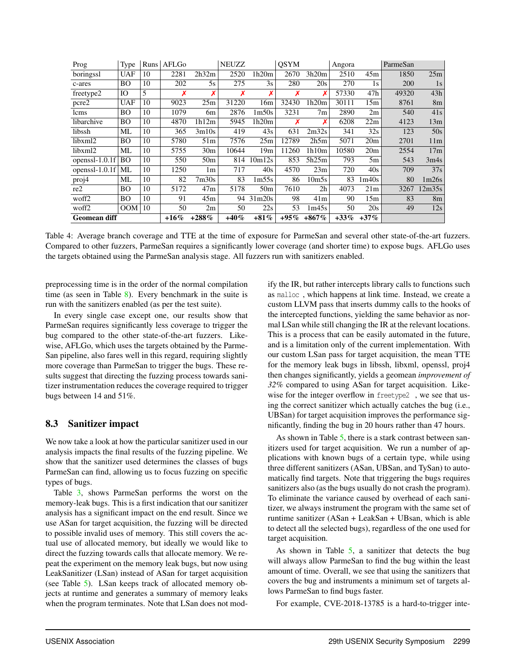<span id="page-11-1"></span>

| Prog                | Type       | Runs | AFLGo   |                 | <b>NEUZZ</b> |                   | <b>OSYM</b> |                   | Angora  |                 | ParmeSan |                 |
|---------------------|------------|------|---------|-----------------|--------------|-------------------|-------------|-------------------|---------|-----------------|----------|-----------------|
| boringssl           | <b>UAF</b> | 10   | 2281    | 2h32m           | 2520         | 1h20m             | 2670        | 3h20m             | 2510    | 45m             | 1850     | 25m             |
| c-ares              | BО         | 10   | 202     | 5s              | 275          | 3s                | 280         | 20s               | 270     | 1s              | 200      | 1s              |
| freetype2           | IO         | 5    | Х       | Х               | Х            | Х                 | Х           |                   | 57330   | 47h             | 49320    | 43h             |
| pcre2               | <b>UAF</b> | 10   | 9023    | 25m             | 31220        | 16m               | 32430       | 1h20m             | 30111   | 15m             | 8761     | 8 <sub>m</sub>  |
| lcms                | BО         | 10   | 1079    | 6m              | 2876         | 1 <sub>m50s</sub> | 3231        | 7 <sub>m</sub>    | 2890    | 2m              | 540      | 41s             |
| libarchive          | <b>BO</b>  | 10   | 4870    | 1h12m           | 5945         | 1h20m             | Х           |                   | 6208    | 22m             | 4123     | 13m             |
| libssh              | ML         | 10   | 365     | 3m10s           | 419          | 43s               | 631         | 2m32s             | 341     | 32s             | 123      | 50s             |
| libxml2             | BО         | 10   | 5780    | 51m             | 7576         | 25m               | 12789       | 2h5m              | 5071    | 20 <sub>m</sub> | 2701     | 11 <sub>m</sub> |
| libxml2             | МL         | 10   | 5755    | 30 <sub>m</sub> | 10644        | 19 <sub>m</sub>   | 11260       | 1h10m             | 10580   | 20 <sub>m</sub> | 2554     | 17m             |
| openssl-1.0.1f      | <b>BO</b>  | 10   | 550     | 50 <sub>m</sub> | 814          | 10m12s            | 853         | 5h25m             | 793     | 5m              | 543      | 3m4s            |
| openssl- $1.0.1f$   | ML         | 10   | 1250    | 1m              | 717          | 40s               | 4570        | 23m               | 720     | 40s             | 709      | 37s             |
| proj4               | ML         | 10   | 82      | 7m30s           | 83           | 1m55s             | 86          | 10 <sub>m5s</sub> | 83      | 1m40s           | 80       | 1m26s           |
| re2                 | <b>BO</b>  | 10   | 5172    | 47m             | 5178         | 50 <sub>m</sub>   | 7610        | 2 <sub>h</sub>    | 4073    | 21m             | 3267     | 12m35s          |
| woff2               | BО         | 10   | 91      | 45m             |              | 94 31m20s         | 98          | 41m               | 90      | 15m             | 83       | 8 <sub>m</sub>  |
| woff2               | OM         | 10   | 50      | 2m              | 50           | 22s               | 53          | 1m45s             | 50      | 20s             | 49       | 12s             |
| <b>Geomean diff</b> |            |      | $+16\%$ | $+288%$         | $+40%$       | $+81%$            | $+95\%$     | $+867\%$          | $+33\%$ | $+37\%$         |          |                 |

Table 4: Average branch coverage and TTE at the time of exposure for ParmeSan and several other state-of-the-art fuzzers. Compared to other fuzzers, ParmeSan requires a significantly lower coverage (and shorter time) to expose bugs. AFLGo uses the targets obtained using the ParmeSan analysis stage. All fuzzers run with sanitizers enabled.

preprocessing time is in the order of the normal compilation time (as seen in Table  $8$ ). Every benchmark in the suite is run with the sanitizers enabled (as per the test suite).

In every single case except one, our results show that ParmeSan requires significantly less coverage to trigger the bug compared to the other state-of-the-art fuzzers. Likewise, AFLGo, which uses the targets obtained by the Parme-San pipeline, also fares well in this regard, requiring slightly more coverage than ParmeSan to trigger the bugs. These results suggest that directing the fuzzing process towards sanitizer instrumentation reduces the coverage required to trigger bugs between 14 and 51%.

## <span id="page-11-0"></span>8.3 Sanitizer impact

We now take a look at how the particular sanitizer used in our analysis impacts the final results of the fuzzing pipeline. We show that the sanitizer used determines the classes of bugs ParmeSan can find, allowing us to focus fuzzing on specific types of bugs.

Table [3](#page-10-0), shows ParmeSan performs the worst on the memory-leak bugs. This is a first indication that our sanitizer analysis has a significant impact on the end result. Since we use ASan for target acquisition, the fuzzing will be directed to possible invalid uses of memory. This still covers the actual use of allocated memory, but ideally we would like to direct the fuzzing towards calls that allocate memory. We repeat the experiment on the memory leak bugs, but now using LeakSanitizer (LSan) instead of ASan for target acquisition (see Table [5](#page-12-0)). LSan keeps track of allocated memory objects at runtime and generates a summary of memory leaks when the program terminates. Note that LSan does not modify the IR, but rather intercepts library calls to functions such as malloc , which happens at link time. Instead, we create a custom LLVM pass that inserts dummy calls to the hooks of the intercepted functions, yielding the same behavior as normal LSan while still changing the IR at the relevant locations. This is a process that can be easily automated in the future, and is a limitation only of the current implementation. With our custom LSan pass for target acquisition, the mean TTE for the memory leak bugs in libssh, libxml, openssl, proj4 then changes significantly, yields a geomean *improvement of 32%* compared to using ASan for target acquisition. Likewise for the integer overflow in freetype2 , we see that using the correct sanitizer which actually catches the bug (i.e., UBSan) for target acquisition improves the performance significantly, finding the bug in 20 hours rather than 47 hours.

As shown in Table [5](#page-12-0), there is a stark contrast between sanitizers used for target acquisition. We run a number of applications with known bugs of a certain type, while using three different sanitizers (ASan, UBSan, and TySan) to automatically find targets. Note that triggering the bugs requires sanitizers also (as the bugs usually do not crash the program). To eliminate the variance caused by overhead of each sanitizer, we always instrument the program with the same set of runtime sanitizer (ASan + LeakSan + UBsan, which is able to detect all the selected bugs), regardless of the one used for target acquisition.

As shown in Table  $5$ , a sanitizer that detects the bug will always allow ParmeSan to find the bug within the least amount of time. Overall, we see that using the sanitizers that covers the bug and instruments a minimum set of targets allows ParmeSan to find bugs faster.

For example, CVE-2018-13785 is a hard-to-trigger inte-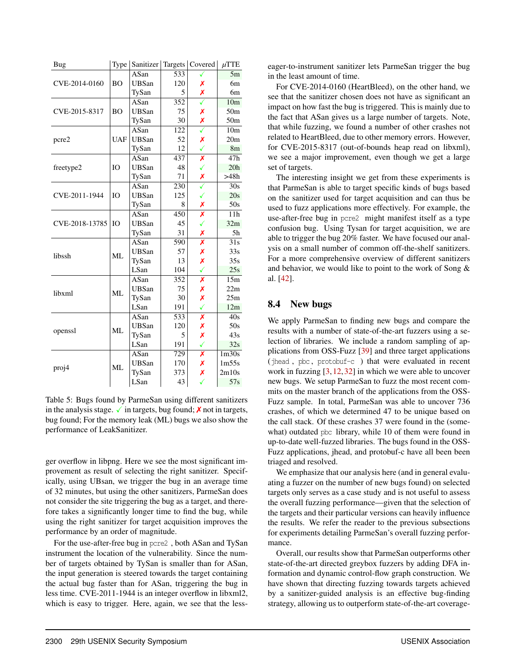<span id="page-12-0"></span>

| Bug            | Type       | Sanitizer    |     | Targets   Covered       | $\mu$ TTE         |
|----------------|------------|--------------|-----|-------------------------|-------------------|
|                |            | ASan         | 533 |                         | 5m                |
| CVE-2014-0160  | <b>BO</b>  | <b>UBSan</b> | 120 | Х                       | 6m                |
|                |            | TySan        | 5   | Х                       | 6m                |
|                |            | ASan         | 352 |                         | 10 <sub>m</sub>   |
| CVE-2015-8317  | <b>BO</b>  | <b>UBSan</b> | 75  | Х                       | 50 <sub>m</sub>   |
|                |            | TySan        | 30  | Х                       | 50 <sub>m</sub>   |
|                |            | ASan         | 122 | ✓                       | 10 <sub>m</sub>   |
| pcre2          | <b>UAF</b> | <b>UBSan</b> | 52  | Х                       | 20 <sub>m</sub>   |
|                |            | TySan        | 12  | ✓                       | 8m                |
|                |            | ASan         | 437 | X                       | 47h               |
| freetype2      | <b>IO</b>  | <b>UBSan</b> | 48  | ✓                       | 20h               |
|                |            | TySan        | 71  | Х                       | >48h              |
|                |            | ASan         | 230 |                         | 30s               |
| CVE-2011-1944  | <b>IO</b>  | <b>UBSan</b> | 125 |                         | 20s               |
|                |            | TySan        | 8   | Х                       | 50s               |
| CVE-2018-13785 |            | ASan         | 450 | $\overline{\mathsf{x}}$ | 11h               |
|                | IO         | <b>UBSan</b> | 45  | ✓                       | 32m               |
|                |            | TySan        | 31  | Х                       | 5h                |
|                | $MI$ .     | ASan         | 590 | X                       | $\overline{31s}$  |
| libssh         |            | <b>UBSan</b> | 57  | Х                       | 33s               |
|                |            | TySan        | 13  | Х                       | 35s               |
|                |            | LSan         | 104 | ✓                       | 25s               |
|                |            | ASan         | 352 | Х                       | 15m               |
| libxml         | ML         | <b>UBSan</b> | 75  | Х                       | 22m               |
|                |            | TySan        | 30  | Х                       | 25m               |
|                |            | LSan         | 191 | ✓                       | 12m               |
|                |            | ASan         | 533 | Х                       | 40s               |
|                | ML         | <b>UBSan</b> | 120 | Х                       | 50s               |
| openssl        |            | TySan        | 5   | Х                       | 43s               |
|                |            | LSan         | 191 | ✓                       | 32s               |
|                |            | ASan         | 729 | x                       | 1 <sub>m30s</sub> |
|                | ML         | <b>UBSan</b> | 170 | Х                       | 1m55s             |
| proj4          |            | TySan        | 373 | Х                       | 2m10s             |
|                |            | LSan         | 43  | ✓                       | 57s               |

Table 5: Bugs found by ParmeSan using different sanitizers in the analysis stage.  $\checkmark$  in targets, bug found;  $\checkmark$  not in targets, bug found; For the memory leak (ML) bugs we also show the performance of LeakSanitizer.

ger overflow in libpng. Here we see the most significant improvement as result of selecting the right sanitizer. Specifically, using UBsan, we trigger the bug in an average time of 32 minutes, but using the other sanitizers, ParmeSan does not consider the site triggering the bug as a target, and therefore takes a significantly longer time to find the bug, while using the right sanitizer for target acquisition improves the performance by an order of magnitude.

For the use-after-free bug in pcre2 , both ASan and TySan instrument the location of the vulnerability. Since the number of targets obtained by TySan is smaller than for ASan, the input generation is steered towards the target containing the actual bug faster than for ASan, triggering the bug in less time. CVE-2011-1944 is an integer overflow in libxml2, which is easy to trigger. Here, again, we see that the lesseager-to-instrument sanitizer lets ParmeSan trigger the bug in the least amount of time.

For CVE-2014-0160 (HeartBleed), on the other hand, we see that the sanitizer chosen does not have as significant an impact on how fast the bug is triggered. This is mainly due to the fact that ASan gives us a large number of targets. Note, that while fuzzing, we found a number of other crashes not related to HeartBleed, due to other memory errors. However, for CVE-2015-8317 (out-of-bounds heap read on libxml), we see a major improvement, even though we get a large set of targets.

The interesting insight we get from these experiments is that ParmeSan is able to target specific kinds of bugs based on the sanitizer used for target acquisition and can thus be used to fuzz applications more effectively. For example, the use-after-free bug in pcre2 might manifest itself as a type confusion bug. Using Tysan for target acquisition, we are able to trigger the bug 20% faster. We have focused our analysis on a small number of common off-the-shelf sanitizers. For a more comprehensive overview of different sanitizers and behavior, we would like to point to the work of Song & al. [\[42](#page-16-6)].

## 8.4 New bugs

We apply ParmeSan to finding new bugs and compare the results with a number of state-of-the-art fuzzers using a selection of libraries. We include a random sampling of applications from OSS-Fuzz [[39\]](#page-16-13) and three target applications (jhead , pbc , protobuf-c ) that were evaluated in recent work in fuzzing [\[3](#page-14-8),[12](#page-14-9),[32\]](#page-15-14) in which we were able to uncover new bugs. We setup ParmeSan to fuzz the most recent commits on the master branch of the applications from the OSS-Fuzz sample. In total, ParmeSan was able to uncover 736 crashes, of which we determined 47 to be unique based on the call stack. Of these crashes 37 were found in the (somewhat) outdated pbc library, while 10 of them were found in up-to-date well-fuzzed libraries. The bugs found in the OSS-Fuzz applications, jhead, and protobuf-c have all been been triaged and resolved.

We emphasize that our analysis here (and in general evaluating a fuzzer on the number of new bugs found) on selected targets only serves as a case study and is not useful to assess the overall fuzzing performance—given that the selection of the targets and their particular versions can heavily influence the results. We refer the reader to the previous subsections for experiments detailing ParmeSan's overall fuzzing performance.

Overall, our results show that ParmeSan outperforms other state-of-the-art directed greybox fuzzers by adding DFA information and dynamic control-flow graph construction. We have shown that directing fuzzing towards targets achieved by a sanitizer-guided analysis is an effective bug-finding strategy, allowing us to outperform state-of-the-art coverage-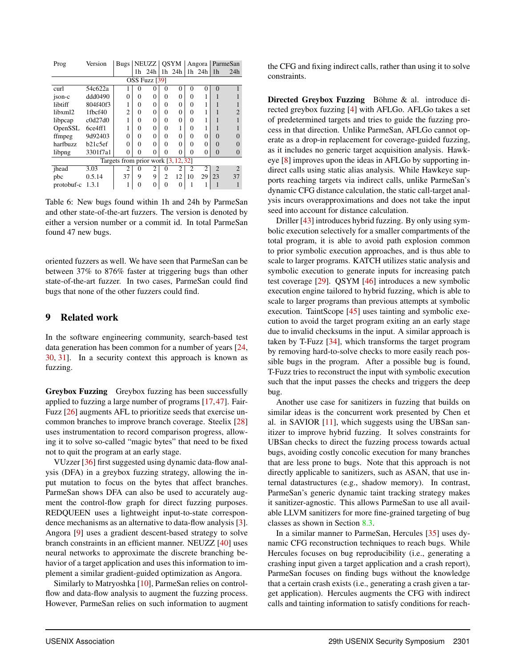| Prog       | Version  | Bugs   NEUZZ   OSYM                   |          |                |                |          |                | Angora         |                | ParmeSan                    |
|------------|----------|---------------------------------------|----------|----------------|----------------|----------|----------------|----------------|----------------|-----------------------------|
|            |          |                                       |          | $1h$ 24 $h$    |                | $1h$ 24h |                | $1h$ 24 $h$ 1h |                | 24h                         |
|            |          |                                       |          | OSS Fuzz [39]  |                |          |                |                |                |                             |
| curl       | 54c622a  |                                       | 0        | 0              | 0              | $\Omega$ | $\Omega$       | 0              | $\Omega$       |                             |
| ison-c     | ddd0490  | $\Omega$                              | 0        | 0              | 0              | $\Omega$ | 0              |                |                |                             |
| libtiff    | 804f40f3 | ш                                     | 0        | 0              | 0              | $\Omega$ | 0              |                |                |                             |
| libxml2    | 1fbcf40  | $\overline{c}$                        | 0        | 0              | 0              | $\Omega$ | 0              |                |                |                             |
| libpcap    | c0d27d0  |                                       | 0        | $\Omega$       | 0              | 0        | 0              |                |                |                             |
| OpenSSL    | 6ce4ff1  |                                       | 0        | 0              | 0              |          | 0              |                |                |                             |
| ffmpeg     | 9d92403  | 0                                     | $\Omega$ | 0              | 0              | $\Omega$ | 0              | 0              | $\Omega$       | 0                           |
| harfbuzz   | b21c5ef  | $\theta$                              | ∩        | 0              | 0              | $\Omega$ | 0              | 0              | $\Omega$       | $\Omega$                    |
| libpng     | 3301f7a1 | $\theta$                              | 0        | 0              | 0              | $\Omega$ | 0              | 0              | $\Omega$       | $\Omega$                    |
|            |          | Targets from prior work $[3, 12, 32]$ |          |                |                |          |                |                |                |                             |
| ihead      | 3.03     | $\overline{c}$                        | $\theta$ | $\overline{c}$ | $_{0}$         | 2        | $\mathfrak{D}$ | $\mathfrak{D}$ | $\mathfrak{D}$ | $\mathcal{D}_{\mathcal{L}}$ |
| pbc        | 0.5.14   | 37                                    | 9        | 9              | $\overline{c}$ | 12       | 10             | 29             | 23             | 37                          |
| protobuf-c | 1.3.1    |                                       |          | 0              | 0              | $\Omega$ |                |                |                |                             |

Table 6: New bugs found within 1h and 24h by ParmeSan and other state-of-the-art fuzzers. The version is denoted by either a version number or a commit id. In total ParmeSan found 47 new bugs.

oriented fuzzers as well. We have seen that ParmeSan can be between 37% to 876% faster at triggering bugs than other state-of-the-art fuzzer. In two cases, ParmeSan could find bugs that none of the other fuzzers could find.

#### 9 Related work

In the software engineering community, search-based test data generation has been common for a number of years [[24,](#page-15-15) [30,](#page-15-6) [31\]](#page-15-16). In a security context this approach is known as fuzzing.

Greybox Fuzzing Greybox fuzzing has been successfully applied to fuzzing a large number of programs [[17,](#page-15-5)[47](#page-16-1)]. Fair-Fuzz [[26\]](#page-15-17) augments AFL to prioritize seeds that exercise uncommon branches to improve branch coverage. Steelix [[28\]](#page-15-18) uses instrumentation to record comparison progress, allowing it to solve so-called "magic bytes" that need to be fixed not to quit the program at an early stage.

VUzzer [\[36](#page-16-0)] first suggested using dynamic data-flow analysis (DFA) in a greybox fuzzing strategy, allowing the input mutation to focus on the bytes that affect branches. ParmeSan shows DFA can also be used to accurately augment the control-flow graph for direct fuzzing purposes. REDQUEEN uses a lightweight input-to-state correspondence mechanisms as an alternative to data-flow analysis [\[3](#page-14-8)]. Angora [[9\]](#page-14-0) uses a gradient descent-based strategy to solve branch constraints in an efficient manner. NEUZZ [\[40](#page-16-12)] uses neural networks to approximate the discrete branching behavior of a target application and uses this information to implement a similar gradient-guided optimization as Angora.

Similarly to Matryoshka [\[10](#page-14-10)], ParmeSan relies on controlflow and data-flow analysis to augment the fuzzing process. However, ParmeSan relies on such information to augment the CFG and fixing indirect calls, rather than using it to solve constraints.

Directed Greybox Fuzzing Böhme & al. introduce directed greybox fuzzing [[4\]](#page-14-1) with AFLGo. AFLGo takes a set of predetermined targets and tries to guide the fuzzing process in that direction. Unlike ParmeSan, AFLGo cannot operate as a drop-in replacement for coverage-guided fuzzing, as it includes no generic target acquisition analysis. Hawkeye [\[8](#page-14-2)] improves upon the ideas in AFLGo by supporting indirect calls using static alias analysis. While Hawkeye supports reaching targets via indirect calls, unlike ParmeSan's dynamic CFG distance calculation, the static call-target analysis incurs overapproximations and does not take the input seed into account for distance calculation.

Driller [[43\]](#page-16-14) introduces hybrid fuzzing. By only using symbolic execution selectively for a smaller compartments of the total program, it is able to avoid path explosion common to prior symbolic execution approaches, and is thus able to scale to larger programs. KATCH utilizes static analysis and symbolic execution to generate inputs for increasing patch test coverage [\[29](#page-15-19)]. QSYM [\[46](#page-16-11)] introduces a new symbolic execution engine tailored to hybrid fuzzing, which is able to scale to larger programs than previous attempts at symbolic execution. TaintScope [\[45](#page-16-5)] uses tainting and symbolic execution to avoid the target program exiting an an early stage due to invalid checksums in the input. A similar approach is taken by T-Fuzz [\[34](#page-16-15)], which transforms the target program by removing hard-to-solve checks to more easily reach possible bugs in the program. After a possible bug is found, T-Fuzz tries to reconstruct the input with symbolic execution such that the input passes the checks and triggers the deep bug.

Another use case for sanitizers in fuzzing that builds on similar ideas is the concurrent work presented by Chen et al. in SAVIOR [[11\]](#page-14-11), which suggests using the UBSan sanitizer to improve hybrid fuzzing. It solves constraints for UBSan checks to direct the fuzzing process towards actual bugs, avoiding costly concolic execution for many branches that are less prone to bugs. Note that this approach is not directly applicable to sanitizers, such as ASAN, that use internal datastructures (e.g., shadow memory). In contrast, ParmeSan's generic dynamic taint tracking strategy makes it sanitizer-agnostic. This allows ParmeSan to use all available LLVM sanitizers for more fine-grained targeting of bug classes as shown in Section [8.3](#page-11-0).

In a similar manner to ParmeSan, Hercules [\[35](#page-16-16)] uses dynamic CFG reconstruction techniques to reach bugs. While Hercules focuses on bug reproducibility (i.e., generating a crashing input given a target application and a crash report), ParmeSan focuses on finding bugs without the knowledge that a certain crash exists (i.e., generating a crash given a target application). Hercules augments the CFG with indirect calls and tainting information to satisfy conditions for reach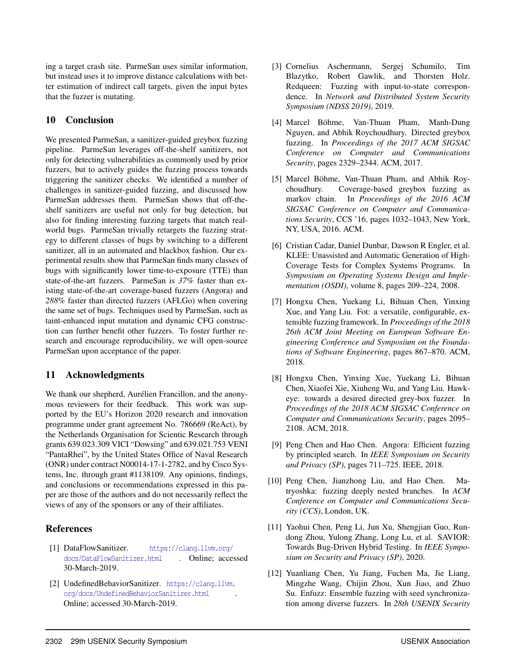ing a target crash site. ParmeSan uses similar information, but instead uses it to improve distance calculations with better estimation of indirect call targets, given the input bytes that the fuzzer is mutating.

## 10 Conclusion

We presented ParmeSan, a sanitizer-guided greybox fuzzing pipeline. ParmeSan leverages off-the-shelf sanitizers, not only for detecting vulnerabilities as commonly used by prior fuzzers, but to actively guides the fuzzing process towards triggering the sanitizer checks. We identified a number of challenges in sanitizer-guided fuzzing, and discussed how ParmeSan addresses them. ParmeSan shows that off-theshelf sanitizers are useful not only for bug detection, but also for finding interesting fuzzing targets that match realworld bugs. ParmeSan trivially retargets the fuzzing strategy to different classes of bugs by switching to a different sanitizer, all in an automated and blackbox fashion. Our experimental results show that ParmeSan finds many classes of bugs with significantly lower time-to-exposure (TTE) than state-of-the-art fuzzers. ParmeSan is *37%* faster than existing state-of-the-art coverage-based fuzzers (Angora) and *288%* faster than directed fuzzers (AFLGo) when covering the same set of bugs. Techniques used by ParmeSan, such as taint-enhanced input mutation and dynamic CFG construction can further benefit other fuzzers. To foster further research and encourage reproducibility, we will open-source ParmeSan upon acceptance of the paper.

## 11 Acknowledgments

We thank our shepherd, Aurélien Francillon, and the anonymous reviewers for their feedback. This work was supported by the EU's Horizon 2020 research and innovation programme under grant agreement No. 786669 (ReAct), by the Netherlands Organisation for Scientic Research through grants 639.023.309 VICI "Dowsing" and 639.021.753 VENI "PantaRhei", by the United States Office of Naval Research (ONR) under contract N00014-17-1-2782, and by Cisco Systems, Inc. through grant #1138109. Any opinions, findings, and conclusions or recommendations expressed in this paper are those of the authors and do not necessarily reflect the views of any of the sponsors or any of their affiliates.

## References

- <span id="page-14-6"></span>[1] DataFlowSanitizer. [https://clang.llvm.org/](https://clang.llvm.org/docs/DataFlowSanitizer.html) [docs/DataFlowSanitizer.html](https://clang.llvm.org/docs/DataFlowSanitizer.html) . Online; accessed 30-March-2019.
- <span id="page-14-7"></span>[2] UndefinedBehaviorSanitizer. [https://clang.llvm.](https://clang.llvm.org/docs/UndefinedBehaviorSanitizer.html) [org/docs/UndefinedBehaviorSanitizer.html](https://clang.llvm.org/docs/UndefinedBehaviorSanitizer.html) . Online; accessed 30-March-2019.
- <span id="page-14-8"></span>[3] Cornelius Aschermann, Sergej Schumilo, Tim Blazytko, Robert Gawlik, and Thorsten Holz. Redqueen: Fuzzing with input-to-state correspondence. In *Network and Distributed System Security Symposium (NDSS 2019)*, 2019.
- <span id="page-14-1"></span>[4] Marcel Böhme, Van-Thuan Pham, Manh-Dung Nguyen, and Abhik Roychoudhury. Directed greybox fuzzing. In *Proceedings of the 2017 ACM SIGSAC Conference on Computer and Communications Security*, pages 2329–2344. ACM, 2017.
- <span id="page-14-4"></span>[5] Marcel Böhme, Van-Thuan Pham, and Abhik Roychoudhury. Coverage-based greybox fuzzing as markov chain. In *Proceedings of the 2016 ACM SIGSAC Conference on Computer and Communications Security*, CCS '16, pages 1032–1043, New York, NY, USA, 2016. ACM.
- <span id="page-14-3"></span>[6] Cristian Cadar, Daniel Dunbar, Dawson R Engler, et al. KLEE: Unassisted and Automatic Generation of High-Coverage Tests for Complex Systems Programs. In *Symposium on Operating Systems Design and Implementation (OSDI)*, volume 8, pages 209–224, 2008.
- <span id="page-14-5"></span>[7] Hongxu Chen, Yuekang Li, Bihuan Chen, Yinxing Xue, and Yang Liu. Fot: a versatile, configurable, extensible fuzzing framework. In *Proceedings of the 2018 26th ACM Joint Meeting on European Software Engineering Conference and Symposium on the Foundations of Software Engineering*, pages 867–870. ACM, 2018.
- <span id="page-14-2"></span>[8] Hongxu Chen, Yinxing Xue, Yuekang Li, Bihuan Chen, Xiaofei Xie, Xiuheng Wu, and Yang Liu. Hawkeye: towards a desired directed grey-box fuzzer. In *Proceedings of the 2018 ACM SIGSAC Conference on Computer and Communications Security*, pages 2095– 2108. ACM, 2018.
- <span id="page-14-0"></span>[9] Peng Chen and Hao Chen. Angora: Efficient fuzzing by principled search. In *IEEE Symposium on Security and Privacy (SP)*, pages 711–725. IEEE, 2018.
- <span id="page-14-10"></span>[10] Peng Chen, Jianzhong Liu, and Hao Chen. Matryoshka: fuzzing deeply nested branches. In *ACM Conference on Computer and Communications Security (CCS)*, London, UK.
- <span id="page-14-11"></span>[11] Yaohui Chen, Peng Li, Jun Xu, Shengjian Guo, Rundong Zhou, Yulong Zhang, Long Lu, et al. SAVIOR: Towards Bug-Driven Hybrid Testing. In *IEEE Symposium on Security and Privacy (SP)*, 2020.
- <span id="page-14-9"></span>[12] Yuanliang Chen, Yu Jiang, Fuchen Ma, Jie Liang, Mingzhe Wang, Chijin Zhou, Xun Jiao, and Zhuo Su. Enfuzz: Ensemble fuzzing with seed synchronization among diverse fuzzers. In *28th USENIX Security*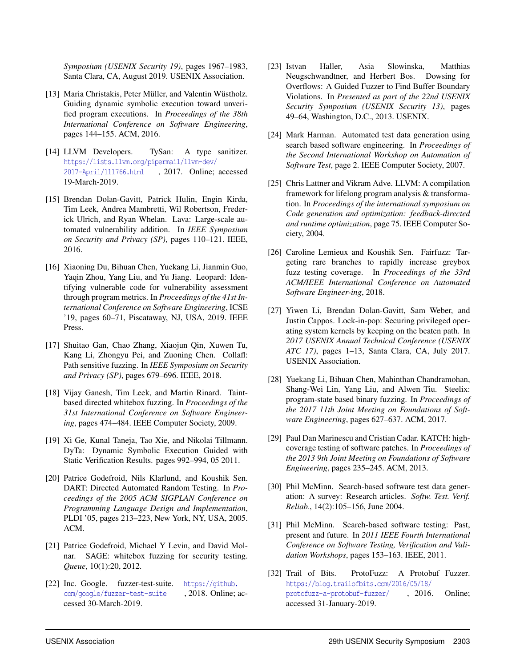*Symposium (USENIX Security 19)*, pages 1967–1983, Santa Clara, CA, August 2019. USENIX Association.

- <span id="page-15-7"></span>[13] Maria Christakis, Peter Müller, and Valentin Wüstholz. Guiding dynamic symbolic execution toward unverified program executions. In *Proceedings of the 38th International Conference on Software Engineering*, pages 144–155. ACM, 2016.
- <span id="page-15-3"></span>[14] LLVM Developers. TySan: A type sanitizer. [https://lists.llvm.org/pipermail/llvm-dev/](https://lists.llvm.org/pipermail/llvm-dev/2017-April/111766.html) [2017-April/111766.html](https://lists.llvm.org/pipermail/llvm-dev/2017-April/111766.html) , 2017. Online; accessed 19-March-2019.
- <span id="page-15-12"></span>[15] Brendan Dolan-Gavitt, Patrick Hulin, Engin Kirda, Tim Leek, Andrea Mambretti, Wil Robertson, Frederick Ulrich, and Ryan Whelan. Lava: Large-scale automated vulnerability addition. In *IEEE Symposium on Security and Privacy (SP)*, pages 110–121. IEEE, 2016.
- <span id="page-15-10"></span>[16] Xiaoning Du, Bihuan Chen, Yuekang Li, Jianmin Guo, Yaqin Zhou, Yang Liu, and Yu Jiang. Leopard: Identifying vulnerable code for vulnerability assessment through program metrics. In *Proceedings of the 41st International Conference on Software Engineering*, ICSE '19, pages 60–71, Piscataway, NJ, USA, 2019. IEEE Press.
- <span id="page-15-5"></span>[17] Shuitao Gan, Chao Zhang, Xiaojun Qin, Xuwen Tu, Kang Li, Zhongyu Pei, and Zuoning Chen. Collafl: Path sensitive fuzzing. In *IEEE Symposium on Security and Privacy (SP)*, pages 679–696. IEEE, 2018.
- <span id="page-15-8"></span>[18] Vijay Ganesh, Tim Leek, and Martin Rinard. Taintbased directed whitebox fuzzing. In *Proceedings of the 31st International Conference on Software Engineering*, pages 474–484. IEEE Computer Society, 2009.
- <span id="page-15-9"></span>[19] Xi Ge, Kunal Taneja, Tao Xie, and Nikolai Tillmann. DyTa: Dynamic Symbolic Execution Guided with Static Verification Results. pages 992–994, 05 2011.
- <span id="page-15-0"></span>[20] Patrice Godefroid, Nils Klarlund, and Koushik Sen. DART: Directed Automated Random Testing. In *Proceedings of the 2005 ACM SIGPLAN Conference on Programming Language Design and Implementation*, PLDI '05, pages 213–223, New York, NY, USA, 2005. ACM.
- <span id="page-15-4"></span>[21] Patrice Godefroid, Michael Y Levin, and David Molnar. SAGE: whitebox fuzzing for security testing. *Queue*, 10(1):20, 2012.
- <span id="page-15-13"></span>[22] Inc. Google. fuzzer-test-suite. [https://github.](https://github.com/google/fuzzer-test-suite) [com/google/fuzzer-test-suite](https://github.com/google/fuzzer-test-suite) , 2018. Online; accessed 30-March-2019.
- <span id="page-15-1"></span>[23] Istvan Haller, Asia Slowinska, Matthias Neugschwandtner, and Herbert Bos. Dowsing for Overflows: A Guided Fuzzer to Find Buffer Boundary Violations. In *Presented as part of the 22nd USENIX Security Symposium (USENIX Security 13)*, pages 49–64, Washington, D.C., 2013. USENIX.
- <span id="page-15-15"></span>[24] Mark Harman. Automated test data generation using search based software engineering. In *Proceedings of the Second International Workshop on Automation of Software Test*, page 2. IEEE Computer Society, 2007.
- <span id="page-15-2"></span>[25] Chris Lattner and Vikram Adve. LLVM: A compilation framework for lifelong program analysis & transformation. In *Proceedings of the international symposium on Code generation and optimization: feedback-directed and runtime optimization*, page 75. IEEE Computer Society, 2004.
- <span id="page-15-17"></span>[26] Caroline Lemieux and Koushik Sen. Fairfuzz: Targeting rare branches to rapidly increase greybox fuzz testing coverage. In *Proceedings of the 33rd ACM/IEEE International Conference on Automated Software Engineer-ing*, 2018.
- <span id="page-15-11"></span>[27] Yiwen Li, Brendan Dolan-Gavitt, Sam Weber, and Justin Cappos. Lock-in-pop: Securing privileged operating system kernels by keeping on the beaten path. In *2017 USENIX Annual Technical Conference (USENIX ATC 17)*, pages 1–13, Santa Clara, CA, July 2017. USENIX Association.
- <span id="page-15-18"></span>[28] Yuekang Li, Bihuan Chen, Mahinthan Chandramohan, Shang-Wei Lin, Yang Liu, and Alwen Tiu. Steelix: program-state based binary fuzzing. In *Proceedings of the 2017 11th Joint Meeting on Foundations of Software Engineering*, pages 627–637. ACM, 2017.
- <span id="page-15-19"></span>[29] Paul Dan Marinescu and Cristian Cadar. KATCH: highcoverage testing of software patches. In *Proceedings of the 2013 9th Joint Meeting on Foundations of Software Engineering*, pages 235–245. ACM, 2013.
- <span id="page-15-6"></span>[30] Phil McMinn. Search-based software test data generation: A survey: Research articles. *Softw. Test. Verif. Reliab.*, 14(2):105–156, June 2004.
- <span id="page-15-16"></span>[31] Phil McMinn. Search-based software testing: Past, present and future. In *2011 IEEE Fourth International Conference on Software Testing, Verification and Validation Workshops*, pages 153–163. IEEE, 2011.
- <span id="page-15-14"></span>[32] Trail of Bits. ProtoFuzz: A Protobuf Fuzzer. [https://blog.trailofbits.com/2016/05/18/](https://blog.trailofbits.com/2016/05/18/protofuzz-a-protobuf-fuzzer/) [protofuzz-a-protobuf-fuzzer/](https://blog.trailofbits.com/2016/05/18/protofuzz-a-protobuf-fuzzer/) , 2016. Online; accessed 31-January-2019.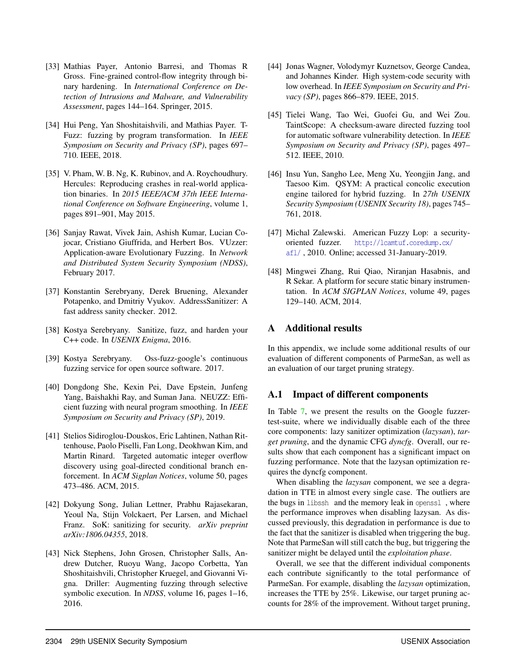- <span id="page-16-8"></span>[33] Mathias Payer, Antonio Barresi, and Thomas R Gross. Fine-grained control-flow integrity through binary hardening. In *International Conference on Detection of Intrusions and Malware, and Vulnerability Assessment*, pages 144–164. Springer, 2015.
- <span id="page-16-15"></span>[34] Hui Peng, Yan Shoshitaishvili, and Mathias Payer. T-Fuzz: fuzzing by program transformation. In *IEEE Symposium on Security and Privacy (SP)*, pages 697– 710. IEEE, 2018.
- <span id="page-16-16"></span>[35] V. Pham, W. B. Ng, K. Rubinov, and A. Roychoudhury. Hercules: Reproducing crashes in real-world application binaries. In *2015 IEEE/ACM 37th IEEE International Conference on Software Engineering*, volume 1, pages 891–901, May 2015.
- <span id="page-16-0"></span>[36] Sanjay Rawat, Vivek Jain, Ashish Kumar, Lucian Cojocar, Cristiano Giuffrida, and Herbert Bos. VUzzer: Application-aware Evolutionary Fuzzing. In *Network and Distributed System Security Symposium (NDSS)*, February 2017.
- <span id="page-16-3"></span>[37] Konstantin Serebryany, Derek Bruening, Alexander Potapenko, and Dmitriy Vyukov. AddressSanitizer: A fast address sanity checker. 2012.
- <span id="page-16-2"></span>[38] Kostya Serebryany. Sanitize, fuzz, and harden your C++ code. In *USENIX Enigma*, 2016.
- <span id="page-16-13"></span>[39] Kostya Serebryany. Oss-fuzz-google's continuous fuzzing service for open source software. 2017.
- <span id="page-16-12"></span>[40] Dongdong She, Kexin Pei, Dave Epstein, Junfeng Yang, Baishakhi Ray, and Suman Jana. NEUZZ: Efficient fuzzing with neural program smoothing. In *IEEE Symposium on Security and Privacy (SP)*, 2019.
- <span id="page-16-4"></span>[41] Stelios Sidiroglou-Douskos, Eric Lahtinen, Nathan Rittenhouse, Paolo Piselli, Fan Long, Deokhwan Kim, and Martin Rinard. Targeted automatic integer overflow discovery using goal-directed conditional branch enforcement. In *ACM Sigplan Notices*, volume 50, pages 473–486. ACM, 2015.
- <span id="page-16-6"></span>[42] Dokyung Song, Julian Lettner, Prabhu Rajasekaran, Yeoul Na, Stijn Volckaert, Per Larsen, and Michael Franz. SoK: sanitizing for security. *arXiv preprint arXiv:1806.04355*, 2018.
- <span id="page-16-14"></span>[43] Nick Stephens, John Grosen, Christopher Salls, Andrew Dutcher, Ruoyu Wang, Jacopo Corbetta, Yan Shoshitaishvili, Christopher Kruegel, and Giovanni Vigna. Driller: Augmenting fuzzing through selective symbolic execution. In *NDSS*, volume 16, pages 1–16, 2016.
- <span id="page-16-7"></span>[44] Jonas Wagner, Volodymyr Kuznetsov, George Candea, and Johannes Kinder. High system-code security with low overhead. In *IEEE Symposium on Security and Privacy (SP)*, pages 866–879. IEEE, 2015.
- <span id="page-16-5"></span>[45] Tielei Wang, Tao Wei, Guofei Gu, and Wei Zou. TaintScope: A checksum-aware directed fuzzing tool for automatic software vulnerability detection. In *IEEE Symposium on Security and Privacy (SP)*, pages 497– 512. IEEE, 2010.
- <span id="page-16-11"></span>[46] Insu Yun, Sangho Lee, Meng Xu, Yeongjin Jang, and Taesoo Kim. QSYM: A practical concolic execution engine tailored for hybrid fuzzing. In *27th USENIX Security Symposium (USENIX Security 18)*, pages 745– 761, 2018.
- <span id="page-16-1"></span>[47] Michal Zalewski. American Fuzzy Lop: a securityoriented fuzzer. [http://lcamtuf.coredump.cx/](http://lcamtuf.coredump.cx/afl/) [afl/](http://lcamtuf.coredump.cx/afl/) , 2010. Online; accessed 31-January-2019.
- <span id="page-16-9"></span>[48] Mingwei Zhang, Rui Qiao, Niranjan Hasabnis, and R Sekar. A platform for secure static binary instrumentation. In *ACM SIGPLAN Notices*, volume 49, pages 129–140. ACM, 2014.

## <span id="page-16-10"></span>A Additional results

In this appendix, we include some additional results of our evaluation of different components of ParmeSan, as well as an evaluation of our target pruning strategy.

## A.1 Impact of different components

In Table [7,](#page-17-1) we present the results on the Google fuzzertest-suite, where we individually disable each of the three core components: lazy sanitizer optimization (*lazysan*), *target pruning*, and the dynamic CFG *dyncfg*. Overall, our results show that each component has a significant impact on fuzzing performance. Note that the lazysan optimization requires the dyncfg component.

When disabling the *lazysan* component, we see a degradation in TTE in almost every single case. The outliers are the bugs in libssh and the memory leak in openssl , where the performance improves when disabling lazysan. As discussed previously, this degradation in performance is due to the fact that the sanitizer is disabled when triggering the bug. Note that ParmeSan will still catch the bug, but triggering the sanitizer might be delayed until the *exploitation phase*.

Overall, we see that the different individual components each contribute significantly to the total performance of ParmeSan. For example, disabling the *lazysan* optimization, increases the TTE by 25%. Likewise, our target pruning accounts for 28% of the improvement. Without target pruning,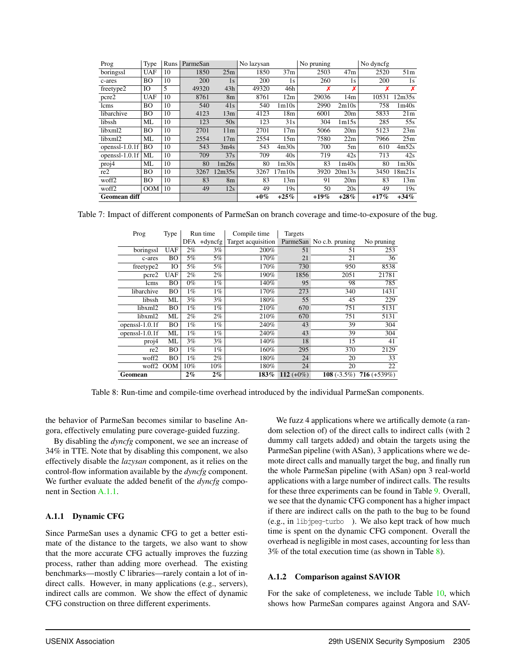<span id="page-17-1"></span>

| Prog                | Type       | Runs | ParmeSan |                 | No lazysan |                   | No pruning |                 | No dyncfg |                   |
|---------------------|------------|------|----------|-----------------|------------|-------------------|------------|-----------------|-----------|-------------------|
| boringssl           | <b>UAF</b> | 10   | 1850     | 25m             | 1850       | 37 <sub>m</sub>   | 2503       | 47m             | 2520      | 51m               |
| c-ares              | <b>BO</b>  | 10   | 200      | 1s              | 200        | 1s                | 260        | 1s              | 200       | 1s                |
| freetype2           | IO         | 5    | 49320    | 43h             | 49320      | 46h               | Х          | Х               | х         | X                 |
| pcre2               | <b>UAF</b> | 10   | 8761     | 8 <sub>m</sub>  | 8761       | 12m               | 29036      | 14m             | 10531     | 12m35s            |
| lcms                | <b>BO</b>  | 10   | 540      | 41s             | 540        | 1 <sub>m10s</sub> | 2990       | 2m10s           | 758       | 1m40s             |
| libarchive          | <b>BO</b>  | 10   | 4123     | 13m             | 4123       | 18 <sub>m</sub>   | 6001       | 20 <sub>m</sub> | 5833      | 21m               |
| libssh              | ML         | 10   | 123      | 50s             | 123        | 31s               | 304        | 1m15s           | 285       | 55s               |
| libxml2             | <b>BO</b>  | 10   | 2701     | 11 <sub>m</sub> | 2701       | 17 <sub>m</sub>   | 5066       | 20 <sub>m</sub> | 5123      | 23m               |
| libxml2             | ML         | 10   | 2554     | 17m             | 2554       | 15m               | 7580       | 22m             | 7966      | 25m               |
| openssl- $1.0.1f$   | <b>BO</b>  | 10   | 543      | 3m4s            | 543        | 4m30s             | 700        | 5m              | 610       | 4m52s             |
| openss $l-1.0.1f$   | ML         | 10   | 709      | 37s             | 709        | 40s               | 719        | 42s             | 713       | 42s               |
| proj4               | ML         | 10   | 80       | 1m26s           | 80         | 1 <sub>m30s</sub> | 83         | 1m40s           | 80        | 1 <sub>m30s</sub> |
| re2                 | <b>BO</b>  | 10   | 3267     | 12m35s          | 3267       | 17m10s            | 3920       | 20m13s          | 3450      | 18m21s            |
| woff2               | <b>BO</b>  | 10   | 83       | 8 <sub>m</sub>  | 83         | 13m               | 91         | 20 <sub>m</sub> | 83        | 13m               |
| woff2               | OM         | 10   | 49       | 12s             | 49         | 19s               | 50         | 20s             | 49        | 19s               |
| <b>Geomean diff</b> |            |      |          |                 | $+0\%$     | $+25%$            | $+19\%$    | $+28%$          | $+17%$    | $+34%$            |

<span id="page-17-0"></span>Table 7: Impact of different components of ParmeSan on branch coverage and time-to-exposure of the bug.

| Prog           | Type       |       | Run time   | Compile time       | Targets      |                          |                |
|----------------|------------|-------|------------|--------------------|--------------|--------------------------|----------------|
|                |            | DFA   | $+$ dyncfg | Target acquisition |              | ParmeSan No c.b. pruning | No pruning     |
| boringssl      | <b>UAF</b> | $2\%$ | 3%         | 200%               | 51           | 51                       | 253            |
| c-ares         | BO         | 5%    | 5%         | 170%               | 21           | 21                       | 36             |
| freetype2      | IO         | 5%    | 5%         | 170%               | 730          | 950                      | 8538           |
| pcre2          | <b>UAF</b> | $2\%$ | 2%         | 190%               | 1856         | 2051                     | 21781          |
| lcms           | BО         | $0\%$ | $1\%$      | 140%               | 95           | 98                       | 785            |
| libarchive     | BO         | $1\%$ | $1\%$      | 170%               | 273          | 340                      | 1431           |
| libssh         | ML         | 3%    | 3%         | 180%               | 55           | 45                       | 229            |
| libxml2        | BO         | $1\%$ | $1\%$      | 210%               | 670          | 751                      | 5131           |
| libxml2        | ML         | 2%    | $2\%$      | 210%               | 670          | 751                      | 5131           |
| openssl-1.0.1f | BО         | $1\%$ | 1%         | 240%               | 43           | 39                       | 304            |
| openssl-1.0.1f | ML         | $1\%$ | $1\%$      | 240%               | 43           | 39                       | 304            |
| proj4          | ML         | 3%    | 3%         | 140%               | 18           | 15                       | 41             |
| re2            | BО         | $1\%$ | $1\%$      | 160%               | 295          | 370                      | 2129           |
| woff2          | BO         | $1\%$ | $2\%$      | 180%               | 24           | 20                       | 33             |
| woff2          | <b>OOM</b> | 10%   | 10%        | 180%               | 24           | 20                       | 22             |
| Geomean        |            | $2\%$ | $2\%$      | 183%               | 112 $(+0\%)$ | 108 $(-3.5\%)$           | $716 (+539\%)$ |

Table 8: Run-time and compile-time overhead introduced by the individual ParmeSan components.

the behavior of ParmeSan becomes similar to baseline Angora, effectively emulating pure coverage-guided fuzzing.

By disabling the *dyncfg* component, we see an increase of 34% in TTE. Note that by disabling this component, we also effectively disable the *lazysan* component, as it relies on the control-flow information available by the *dyncfg* component. We further evaluate the added benefit of the *dyncfg* component in Section [A.1.1](#page-17-2).

#### <span id="page-17-2"></span>A.1.1 Dynamic CFG

Since ParmeSan uses a dynamic CFG to get a better estimate of the distance to the targets, we also want to show that the more accurate CFG actually improves the fuzzing process, rather than adding more overhead. The existing benchmarks—mostly C libraries—rarely contain a lot of indirect calls. However, in many applications (e.g., servers), indirect calls are common. We show the effect of dynamic CFG construction on three different experiments.

We fuzz 4 applications where we artifically demote (a random selection of) of the direct calls to indirect calls (with 2 dummy call targets added) and obtain the targets using the ParmeSan pipeline (with ASan), 3 applications where we demote direct calls and manually target the bug, and finally run the whole ParmeSan pipeline (with ASan) opn 3 real-world applications with a large number of indirect calls. The results for these three experiments can be found in Table [9](#page-18-0). Overall, we see that the dynamic CFG component has a higher impact if there are indirect calls on the path to the bug to be found (e.g., in libjpeg-turbo ). We also kept track of how much time is spent on the dynamic CFG component. Overall the overhead is negligible in most cases, accounting for less than 3% of the total execution time (as shown in Table [8](#page-17-0)).

#### A.1.2 Comparison against SAVIOR

For the sake of completeness, we include Table [10](#page-18-1), which shows how ParmeSan compares against Angora and SAV-